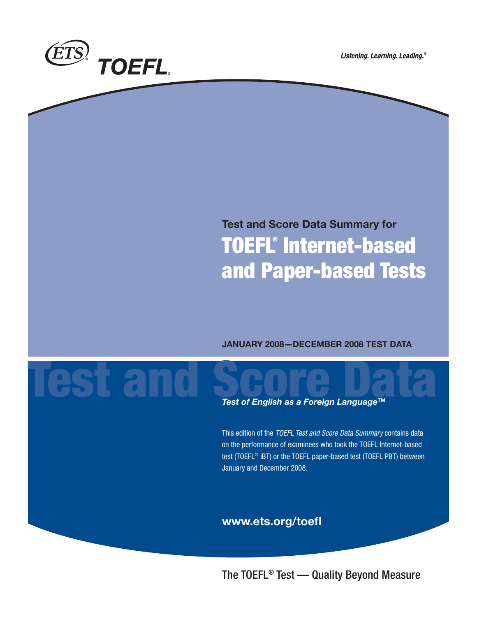

Listening. Learning. Leading.®

# **Test and Score Data Summary for TOEFL® Internet-based and Paper-based Tests**

# **JANUARY 2008—DECEMBER 2008 TEST DATA**

# Test of English as a Foreign Language™ **Test of English as a Foreign Language™**

This edition of the TOEFL Test and Score Data Summary contains data on the performance of examinees who took the TOEFL Internet-based test (TOEFL® iBT) or the TOEFL paper-based test (TOEFL PBT) between January and December 2008.

# **www.ets.org/toefl**

The TOEFL® Test — Quality Beyond Measure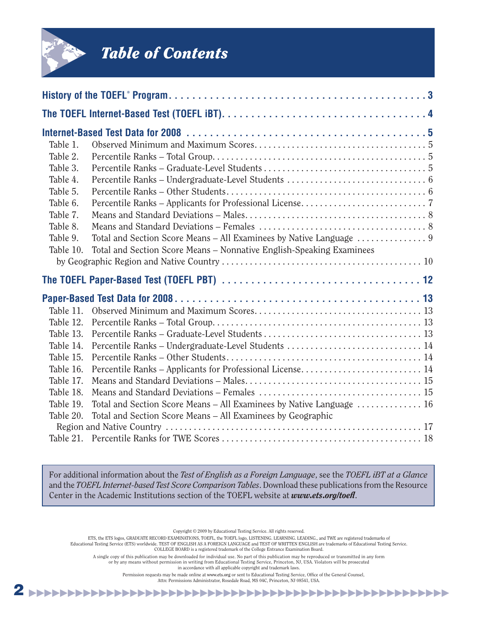

# *Table of Contents*

| Table 1.  |                                                                      |
|-----------|----------------------------------------------------------------------|
| Table 2.  |                                                                      |
| Table 3.  |                                                                      |
| Table 4.  |                                                                      |
| Table 5.  |                                                                      |
| Table 6.  |                                                                      |
| Table 7.  |                                                                      |
| Table 8.  |                                                                      |
| Table 9.  |                                                                      |
| Table 10. | Total and Section Score Means - Nonnative English-Speaking Examinees |
|           |                                                                      |
|           |                                                                      |
|           |                                                                      |
|           |                                                                      |
| Table 11. |                                                                      |
| Table 12. |                                                                      |
| Table 13. |                                                                      |
| Table 14. | Percentile Ranks - Undergraduate-Level Students  14                  |
| Table 15. |                                                                      |
| Table 16. | Percentile Ranks – Applicants for Professional License 14            |
| Table 17. |                                                                      |
| Table 18. |                                                                      |
| Table 19. | Total and Section Score Means – All Examinees by Native Language  16 |
| Table 20. | Total and Section Score Means – All Examinees by Geographic          |
|           |                                                                      |

For additional information about the *Test of English as a Foreign Language*, see the *TOEFL iBT at a Glance* and the *TOEFL Internet-based Test Score Comparison Tables*. Download these publications from the Resource Center in the Academic Institutions section of the TOEFL website at *www.ets.org/toefl*.

Copyright © 2009 by Educational Testing Service. All rights reserved.

ETS, the ETS logos, GRADUATE RECORD EXAMINATIONS, TOEFL, the TOEFL logo, LISTENING. LEARNING. LEADING., and TWE are registered trademarks of

Educational Testing Service (ETS) worldwide. TEST OF ENGLISH AS A FOREIGN LANGUAGE and TEST OF WRITTEN ENGLISH are trademarks of Educational Testing Service.<br>COLLEGE BOARD is a registered trademark of the College Entrance

A single copy of this publication may be downloaded for individual use. No part of this publication may be reproduced or transmitted in any form or by any means without permission in writing from Educational Testing Service, Princeton, NJ, USA. Violators will be prosecuted

in accordance with all applicable copyright and trademark laws.

Permission requests may be made online at www.ets.org or sent to Educational Testing Service, Office of the General Counsel,

**2** ▶▶▶▶▶▶▶▶▶▶▶▶▶▶▶▶▶▶▶▶▶▶▶▶▶▶▶▶▶▶▶▶▶▶▶▶▶▶▶▶▶▶▶▶▶▶▶▶▶▶▶▶▶▶ Attn: Permissions Administrator, Rosedale Road, MS 04C, Princeton, NJ 08541, USA.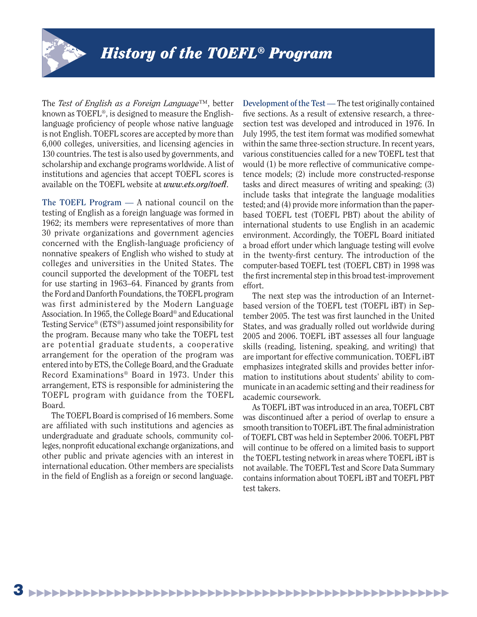

The *Test of English as a Foreign Language*™, better known as TOEFL®, is designed to measure the Englishlanguage proficiency of people whose native language is not English. TOEFL scores are accepted by more than 6,000 colleges, universities, and licensing agencies in 130 countries. The test is also used by governments, and scholarship and exchange programs worldwide. A list of institutions and agencies that accept TOEFL scores is available on the TOEFL website at *www.ets.org/toefl*.

**The TOEFL Program** — A national council on the testing of English as a foreign language was formed in 1962; its members were representatives of more than 30 private organizations and government agencies concerned with the English-language proficiency of nonnative speakers of English who wished to study at colleges and universities in the United States. The council supported the development of the TOEFL test for use starting in 1963–64. Financed by grants from the Ford and Danforth Foundations, the TOEFL program was first administered by the Modern Language Association. In 1965, the College Board® and Educational Testing Service® (ETS®) assumed joint responsibility for the program. Because many who take the TOEFL test are potential graduate students, a cooperative arrangement for the operation of the program was entered into by ETS, the College Board, and the Graduate Record Examinations® Board in 1973. Under this arrangement, ETS is responsible for administering the TOEFL program with guidance from the TOEFL Board.

The TOEFL Board is comprised of 16 members. Some are affiliated with such institutions and agencies as undergraduate and graduate schools, community colleges, nonprofit educational exchange organizations, and other public and private agencies with an interest in international education. Other members are specialists in the field of English as a foreign or second language.

**Development of the Test** — The test originally contained five sections. As a result of extensive research, a threesection test was developed and introduced in 1976. In July 1995, the test item format was modified somewhat within the same three-section structure. In recent years, various constituencies called for a new TOEFL test that would (1) be more reflective of communicative competence models; (2) include more constructed-response tasks and direct measures of writing and speaking; (3) include tasks that integrate the language modalities tested; and (4) provide more information than the paperbased TOEFL test (TOEFL PBT) about the ability of international students to use English in an academic environment. Accordingly, the TOEFL Board initiated a broad effort under which language testing will evolve in the twenty-first century. The introduction of the computer-based TOEFL test (TOEFL CBT) in 1998 was the first incremental step in this broad test-improvement effort.

 The next step was the introduction of an Internetbased version of the TOEFL test (TOEFL iBT) in September 2005. The test was first launched in the United States, and was gradually rolled out worldwide during 2005 and 2006. TOEFL iBT assesses all four language skills (reading, listening, speaking, and writing) that are important for effective communication. TOEFL iBT emphasizes integrated skills and provides better information to institutions about students' ability to communicate in an academic setting and their readiness for academic coursework.

 As TOEFL iBT was introduced in an area, TOEFL CBT was discontinued after a period of overlap to ensure a smooth transition to TOEFL iBT. The final administration of TOEFL CBT was held in September 2006. TOEFL PBT will continue to be offered on a limited basis to support the TOEFL testing network in areas where TOEFL iBT is not available. The TOEFL Test and Score Data Summary contains information about TOEFL iBT and TOEFL PBT test takers.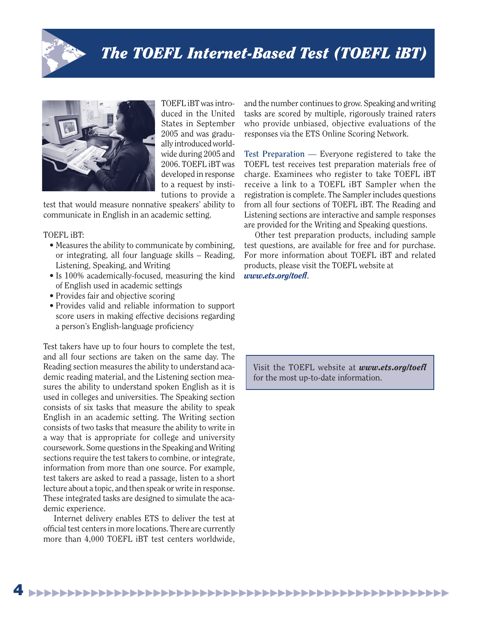



TOEFL iBT was introduced in the United States in September 2005 and was gradually introduced worldwide during 2005 and 2006. TOEFL iBT was developed in response to a request by institutions to provide a

test that would measure nonnative speakers' ability to communicate in English in an academic setting.

# TOEFL iBT:

- Measures the ability to communicate by combining, or integrating, all four language skills – Reading, Listening, Speaking, and Writing
- Is 100% academically-focused, measuring the kind of English used in academic settings
- Provides fair and objective scoring
- Provides valid and reliable information to support score users in making effective decisions regarding a person's English-language proficiency

Test takers have up to four hours to complete the test, and all four sections are taken on the same day. The Reading section measures the ability to understand academic reading material, and the Listening section measures the ability to understand spoken English as it is used in colleges and universities. The Speaking section consists of six tasks that measure the ability to speak English in an academic setting. The Writing section consists of two tasks that measure the ability to write in a way that is appropriate for college and university coursework. Some questions in the Speaking and Writing sections require the test takers to combine, or integrate, information from more than one source. For example, test takers are asked to read a passage, listen to a short lecture about a topic, and then speak or write in response. These integrated tasks are designed to simulate the academic experience.

Internet delivery enables ETS to deliver the test at official test centers in more locations. There are currently more than 4,000 TOEFL iBT test centers worldwide,

and the number continues to grow. Speaking and writing tasks are scored by multiple, rigorously trained raters who provide unbiased, objective evaluations of the responses via the ETS Online Scoring Network.

**Test Preparation** — Everyone registered to take the TOEFL test receives test preparation materials free of charge. Examinees who register to take TOEFL iBT receive a link to a TOEFL iBT Sampler when the registration is complete. The Sampler includes questions from all four sections of TOEFL iBT. The Reading and Listening sections are interactive and sample responses are provided for the Writing and Speaking questions.

Other test preparation products, including sample test questions, are available for free and for purchase. For more information about TOEFL iBT and related products, please visit the TOEFL website at *www.ets.org/toefl*.

Visit the TOEFL website at *www.ets.org/toefl* for the most up-to-date information.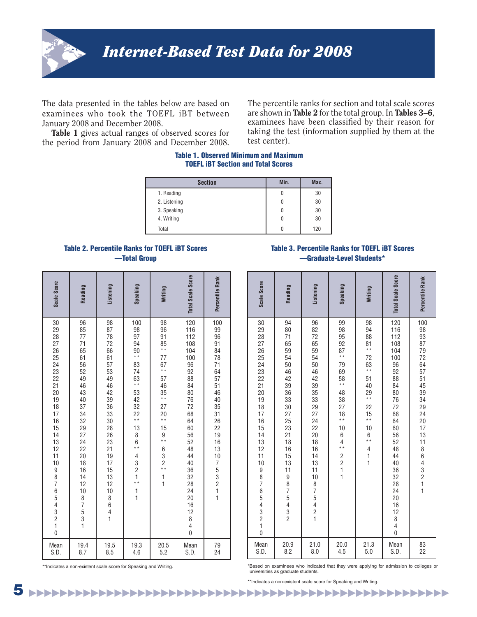

The data presented in the tables below are based on examinees who took the TOEFL iBT between January 2008 and December 2008.

**Table 1** gives actual ranges of observed scores for the period from January 2008 and December 2008. The percentile ranks for section and total scale scores are shown in **Table 2** for the total group. In **Tables 3–6**, examinees have been classified by their reason for taking the test (information supplied by them at the test center).

### **Table 1. Observed Minimum and Maximum TOEFL iBT Section and Total Scores**

| <b>Section</b> | Min. | Max. |
|----------------|------|------|
| 1. Reading     | 0    | 30   |
| 2. Listening   | 0    | 30   |
| 3. Speaking    | 0    | 30   |
| 4. Writing     | 0    | 30   |
| Total          |      | 120  |

### **Table 2. Percentile Ranks for TOEFL iBT Scores —Total Group**

# **Table 3. Percentile Ranks for TOEFL iBT Scores —Graduate-Level Students\***

| Scale Score                                                                                    | Reading                                                                                                                                                               | Listening                                                                                                                                                              | Speaking                                                                                                                                                                                                                                          | Writing                                                                                                                                                                                       | <b>Total Scale Score</b>                                                                                                                                                                                                                    | Percentile Rank                                                                                                                                                            |
|------------------------------------------------------------------------------------------------|-----------------------------------------------------------------------------------------------------------------------------------------------------------------------|------------------------------------------------------------------------------------------------------------------------------------------------------------------------|---------------------------------------------------------------------------------------------------------------------------------------------------------------------------------------------------------------------------------------------------|-----------------------------------------------------------------------------------------------------------------------------------------------------------------------------------------------|---------------------------------------------------------------------------------------------------------------------------------------------------------------------------------------------------------------------------------------------|----------------------------------------------------------------------------------------------------------------------------------------------------------------------------|
| 30<br>29222652322120<br>19<br>18<br>17<br>16<br>15<br>14<br>13<br>12<br>11<br>10<br>9876543210 | 96<br>85<br>77<br>$\frac{71}{65}$<br>$\frac{61}{56}$<br>52<br>49<br>46<br>43<br>40<br>37<br>34<br>32<br>29<br>27<br>24<br>22<br>20<br>18<br>16<br>14<br>12<br>1087531 | 98<br>87<br>78<br>72<br>66<br>61<br>57<br>53<br>49<br>46<br>42<br>39<br>36<br>33<br>30<br>28<br>26<br>23<br>21<br>19<br>17<br>15<br>13<br>12<br>10<br>8<br>6<br>4<br>1 | 100<br>98<br>97<br>94<br>$\frac{90}{11}$<br>83<br>74<br>$63 \atop***$<br>53<br>42<br>$rac{1}{32}$<br>$rac{22}{11}$<br>13<br>$\begin{array}{c} 8 \\ 6 \\ * \end{array}$<br>$\begin{array}{c} 4 \\ 3 \\ 2 \\ 1 \end{array}$<br>* *<br>$\frac{1}{1}$ | 98<br>96<br>91<br>$\frac{85}{11}$<br>77<br>$67$<br>**<br>57<br>46<br>$\frac{35}{11}$<br>27<br>20<br>15<br>$\overline{9}$<br>**<br>$63$<br>$2$<br>$*$<br>$\begin{array}{c} 1 \\ 1 \end{array}$ | 120<br>116<br>112<br>108<br>104<br>100<br>96<br>92<br>88<br>84<br>80<br>76<br>72<br>68<br>64<br>60<br>56<br>52<br>48<br>44<br>40<br>36<br>32<br>28<br>$\overline{24}$<br>$20\,$<br>16<br>12<br>8<br>$\overline{\mathcal{A}}$<br>$\mathbf 0$ | 100<br>99<br>96<br>91<br>84<br>78<br>71<br>64<br>57<br>51<br>46<br>40<br>35<br>31<br>26<br>$\overline{22}$<br>$\frac{1}{19}$<br>$\frac{1}{16}$<br>$\frac{1}{3}$<br>1075321 |
| Mean<br>S.D.                                                                                   | 19.4<br>8.7                                                                                                                                                           | 19.5<br>8.5                                                                                                                                                            | 19.3<br>4.6                                                                                                                                                                                                                                       | 20.5<br>5.2                                                                                                                                                                                   | Mean<br>S.D.                                                                                                                                                                                                                                | 79<br>24                                                                                                                                                                   |

| Scale Score                                                                                                                                                        | Reading                                                                                                             | Listening                                                                                                                                          | Speaking                                                                                                                                                                                              | Writing                                                                                                                                                                                                                               | <b>Total Scale Score</b>                                                                                                                                                                                                                    | Percentile Rank                                                                                                            |
|--------------------------------------------------------------------------------------------------------------------------------------------------------------------|---------------------------------------------------------------------------------------------------------------------|----------------------------------------------------------------------------------------------------------------------------------------------------|-------------------------------------------------------------------------------------------------------------------------------------------------------------------------------------------------------|---------------------------------------------------------------------------------------------------------------------------------------------------------------------------------------------------------------------------------------|---------------------------------------------------------------------------------------------------------------------------------------------------------------------------------------------------------------------------------------------|----------------------------------------------------------------------------------------------------------------------------|
| 30<br>29<br>28<br>27<br>$\frac{1}{26}$<br>$\overline{24}$<br>23<br>$\overline{22}$<br>$\frac{21}{20}$<br>19<br>18<br>17<br>16<br>15<br>14<br>13<br>121109876543210 | 94<br>80<br>71<br>65<br>59<br>54<br>50<br>46<br>42<br>39<br>36<br>33<br>30 27 25 23 21 18 16 15 13 11 9 8 7 5 4 3 2 | 96<br>82<br>72<br>65<br>59<br>54<br>50<br>46<br>42<br>39<br>35<br>33<br>29<br>27<br>$\frac{1}{24}$<br>20<br>18<br>16<br>14<br>13<br>11<br>10875421 | 99<br>98<br>95<br>$\frac{92}{87}$<br>79<br>69<br>$58*$<br>48<br>38<br>27<br>$\frac{1}{18}$<br>10<br>$\begin{array}{c} 6 \\ 6 \\ 4 \end{array}$<br>* *<br>$\begin{array}{c}\n2 \\ 2 \\ 1\n\end{array}$ | 98<br>94<br>$\bf 88$<br>$\frac{81}{11}$<br>72<br>63<br>**<br>51<br>40<br>$29 \atop$<br>$\begin{array}{c} 22 \\ 15 \\ * \end{array}$<br>$\begin{array}{c}\n10 \\ 6 \\ \ast\n\end{array}$<br>$\begin{array}{c} 4 \\ 1 \\ 1 \end{array}$ | 120<br>116<br>112<br>108<br>104<br>100<br>96<br>92<br>88<br>84<br>80<br>76<br>72<br>$\frac{68}{64}$<br>60<br>56<br>52<br>48<br>44<br>40<br>36<br>32<br>28<br>24<br>$\frac{1}{20}$<br>16<br>12<br>$\begin{array}{c} 8 \\ 4 \\ 0 \end{array}$ | 100<br>98<br>$\frac{93}{87}$<br>- 79<br>79<br>72<br>64<br>57<br>51<br>45<br>39<br>34<br>29<br>24<br>20<br>17<br>1318643211 |
| Mean<br>S.D.                                                                                                                                                       | 20.9<br>8.2                                                                                                         | 21.0<br>8.0                                                                                                                                        | 20.0<br>4.5                                                                                                                                                                                           | 21.3<br>5.0                                                                                                                                                                                                                           | Mean<br>S.D.                                                                                                                                                                                                                                | 83<br>22                                                                                                                   |

\*\*Indicates a non-existent scale score for Speaking and Writing.

\*Based on examinees who indicated that they were applying for admission to colleges or universities as graduate students.

\*\*Indicates a non-existent scale score for Speaking and Writing.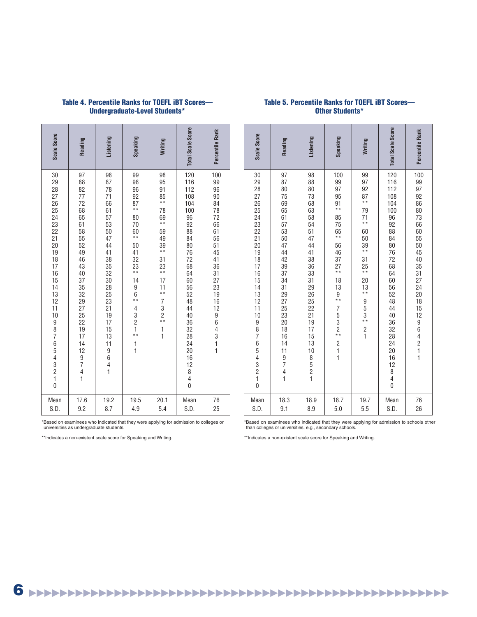| Scale Score                                                                                                        | Reading                                                                                                                                                                                     | Listening                                                                                                                                                                                                                                         | Speaking                                                                                                                                                                                                       | Writing                                                                                                                                                                                                                                                             | <b>Total Scale Score</b>                                                                                                                                                                                                  | Percentile Rank                                                                                                                     |
|--------------------------------------------------------------------------------------------------------------------|---------------------------------------------------------------------------------------------------------------------------------------------------------------------------------------------|---------------------------------------------------------------------------------------------------------------------------------------------------------------------------------------------------------------------------------------------------|----------------------------------------------------------------------------------------------------------------------------------------------------------------------------------------------------------------|---------------------------------------------------------------------------------------------------------------------------------------------------------------------------------------------------------------------------------------------------------------------|---------------------------------------------------------------------------------------------------------------------------------------------------------------------------------------------------------------------------|-------------------------------------------------------------------------------------------------------------------------------------|
| 30<br>29<br>28<br>27<br>$\frac{26}{25}$<br>$\frac{24}{23}$<br>22 21 20 19 18 17 16 15 14 13 12 11 10<br>9876543210 | 97<br>88<br>82<br>77<br>72<br>68<br>65<br>61<br>58<br>55<br>52<br>49<br>46<br>43<br>40<br>37<br>35<br>32<br>29<br>27<br>25<br>$\frac{22}{19}$<br>14<br>12<br>$\frac{9}{7}$<br>$\frac{4}{1}$ | 98<br>87<br>78<br>71<br>66<br>61<br>57<br>53<br>50<br>47<br>44<br>41<br>38<br>35<br>32<br>30<br>28<br>25<br>23<br>21<br>19<br>17<br>$\begin{array}{c} 15 \\ 13 \end{array}$<br>$\begin{array}{c} 11 \\ 9 \\ 6 \\ 4 \end{array}$<br>$\overline{1}$ | 99<br>98<br>96<br>$\frac{92}{87}$<br>80<br>70<br>60<br>$\ddot{\ast}$<br>50<br>$rac{41}{32}$<br>$23 \atop$<br>14<br>$\begin{array}{c} 9 \\ 6 \\ * \end{array}$<br>4321<br>$\begin{array}{c} 1 \\ 1 \end{array}$ | 98<br>95<br>91<br>$\frac{85}{11}$<br>78<br>$\begin{array}{c} 69 \\ 69 \\ * \end{array}$<br>59<br>49<br>$\frac{39}{11}$<br>31<br>$\frac{23}{11}$<br>17<br>$\frac{11}{11}$<br>$\begin{array}{c}\n7 \\ 3 \\ 2 \\ \end{array}$<br>$\begin{array}{c} 1 \\ 1 \end{array}$ | 120<br>116<br>112<br>108<br>104<br>100<br>96<br>92<br>88<br>84<br>80<br>76<br>72<br>68<br>64<br>60<br>56<br>52<br>48<br>44<br>40<br>36<br>32<br>28<br>$\frac{1}{24}$<br>16<br>12<br>8<br>$\overline{4}$<br>$\overline{0}$ | 100<br>99<br>96<br>90<br>84<br>78<br>72<br>$66$<br>$61$<br>56<br>51<br>45<br>41<br>36<br>31<br>27<br>23<br>19<br>16<br>12<br>964311 |
| Mean<br>S.D.                                                                                                       | 17.6<br>9.2                                                                                                                                                                                 | 19.2<br>8.7                                                                                                                                                                                                                                       | 19.5<br>4.9                                                                                                                                                                                                    | 20.1<br>5.4                                                                                                                                                                                                                                                         | Mean<br>S.D.                                                                                                                                                                                                              | 76<br>25                                                                                                                            |

# **Table 4. Percentile Ranks for TOEFL iBT Scores— Undergraduate-Level Students\***

# **Table 5. Percentile Ranks for TOEFL iBT Scores— Other Students\***

| Scale Score                                                                                                                                      | Reading                                                                                                                                                                                                                             | Listening                                                                                                                                                               | Speaking                                                                                                                                                                                                 | Writing                                                                                                                                                                                        | <b>Total Scale Score</b>                                                                                                                                                                                            | Percentile Rank                                                                                                                                                                             |
|--------------------------------------------------------------------------------------------------------------------------------------------------|-------------------------------------------------------------------------------------------------------------------------------------------------------------------------------------------------------------------------------------|-------------------------------------------------------------------------------------------------------------------------------------------------------------------------|----------------------------------------------------------------------------------------------------------------------------------------------------------------------------------------------------------|------------------------------------------------------------------------------------------------------------------------------------------------------------------------------------------------|---------------------------------------------------------------------------------------------------------------------------------------------------------------------------------------------------------------------|---------------------------------------------------------------------------------------------------------------------------------------------------------------------------------------------|
| 30<br>29<br>28<br>27<br>26<br>25<br>24<br>23<br>$\frac{22}{21}$<br>20<br>19<br>18<br>$\frac{17}{16}$<br>14<br>13<br>12<br>11<br>10<br>9876543210 | 97<br>87<br>80<br>75<br>69<br>65<br>61<br>57<br>53<br>$\frac{50}{47}$<br>44<br>42<br>39<br>37<br>34<br>31<br>29<br>27<br>25<br>23<br>20<br>$\frac{18}{16}$<br>14<br>11<br>$\frac{9}{7}$<br>$\overline{\mathcal{L}}$<br>$\mathbf{1}$ | 98<br>88<br>80<br>73<br>68<br>63<br>58<br>54<br>51<br>47<br>44<br>41<br>38<br>36<br>33<br>$\frac{31}{29}$<br>26<br>25<br>22<br>21<br>19<br>17<br>15<br>13<br>10<br>8521 | 100<br>99<br>97<br>95<br>91<br>$\ddot{+}$<br>85<br>75<br>65<br>* *<br>56<br>46<br>37<br>$27 \atop \ast \ast$<br>18<br>13<br>9<br>* *<br>$\overline{7}$<br>$53$<br>$2**$<br>$\frac{2}{1}$<br>$\mathbf{1}$ | 99<br>97<br>$\frac{92}{87}$<br>79<br>71<br>**<br>60<br>$\frac{50}{39}$<br>$\begin{array}{c} 31 \\ 25 \\ * \end{array}$<br>$\begin{array}{c} 20 \\ 13 \\ * \end{array}$<br>953<br>$\frac{2}{1}$ | 120<br>116<br>112<br>108<br>104<br>100<br>96<br>92<br>88<br>84<br>80<br>76<br>72<br>68<br>64<br>60<br>56<br>52<br>48<br>44<br>40<br>36<br>32<br>$\overline{28}$<br>24<br>20<br>16<br>12<br>8<br>4<br>$\overline{0}$ | 100<br>99<br>97<br>92<br>86<br>80<br>73<br>66<br>60<br>55<br>50<br>45<br>40<br>35<br>31<br>27<br>24<br>20<br>$\begin{array}{c} 18 \\ 18 \\ 15 \\ 12 \end{array}$<br>96421<br>$\overline{1}$ |
| Mean<br>S.D.                                                                                                                                     | 18.3<br>9.1                                                                                                                                                                                                                         | 18.9<br>8.9                                                                                                                                                             | 18.7<br>5.0                                                                                                                                                                                              | 19.7<br>5.5                                                                                                                                                                                    | Mean<br>S.D.                                                                                                                                                                                                        | 76<br>26                                                                                                                                                                                    |

\*Based on examinees who indicated that they were applying for admission to colleges or universities as undergraduate students.

\*\*Indicates a non-existent scale score for Speaking and Writing.

\*Based on examinees who indicated that they were applying for admission to schools other than colleges or universities, e.g., secondary schools.

\*\*Indicates a non-existent scale score for Speaking and Writing.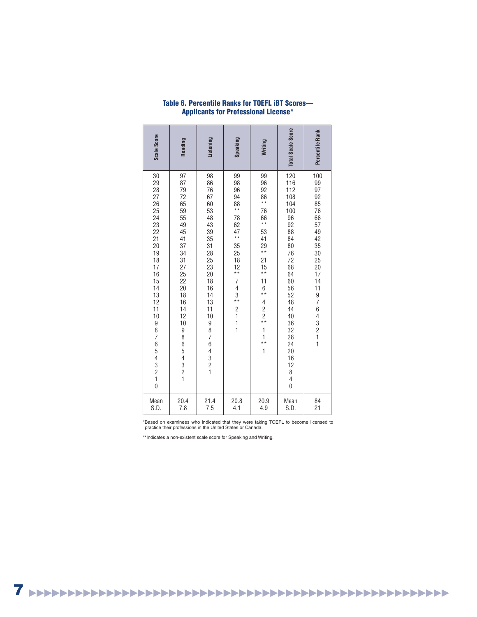| <b>Total Scale Score</b><br>Percentile Rank<br>Writing | 120<br>100<br>99<br>96<br>116<br>99<br>97<br>92<br>112<br>$86$<br>**<br>108<br>92<br>104<br>85<br>100<br>76<br>76<br>66<br>$66$<br>**<br>96<br>57<br>92<br>88<br>53<br>49<br>84<br>41<br>42<br>$29 \atop \ast \ast$<br>80<br>35<br>76<br>30<br>25<br>72<br>21<br>15<br>68<br>20<br>$\star \star$<br>64<br>17<br>60<br>14 |
|--------------------------------------------------------|--------------------------------------------------------------------------------------------------------------------------------------------------------------------------------------------------------------------------------------------------------------------------------------------------------------------------|
|                                                        | 11<br>$6$<br>**<br>$\overline{4}$<br>$\begin{array}{c} 2 \\ 2 \\ * \end{array}$<br>$\mathbf{1}$<br>$\overline{1}$<br>$\ddot{\ast}$<br>$\mathbf{1}$                                                                                                                                                                       |
| Speaking                                               | 99<br>98<br>96<br>94<br>$88$<br>**<br>78<br>62<br>47<br>* *<br>35<br>25<br>18<br>12<br>* *<br>7<br>$\overline{\mathcal{L}}$<br>3<br>$\frac{1}{x}$<br>$\frac{2}{1}$<br>$\begin{array}{c} 1 \\ 1 \end{array}$                                                                                                              |
| Listening                                              | 98<br>86<br>76<br>67<br>60<br>53<br>48<br>43<br>39<br>35<br>31<br>28<br>25<br>23<br>20<br>18<br>16<br>14<br>13<br>11<br>10<br>98764321                                                                                                                                                                                   |
| Reading                                                | 97<br>87<br>79<br>$\frac{72}{65}$<br>59<br>55<br>49<br>45<br>41<br>37<br>34<br>$\overline{31}$<br>27<br>25<br>22<br>20<br>$\overline{18}$<br>16<br>14<br>12<br>10<br>98654321                                                                                                                                            |
| Scale Score                                            | 30<br>29<br>$\overline{28}$<br>$\begin{array}{c} 27 \\ 26 \\ 25 \end{array}$<br>24<br>23<br>22<br>21<br>20<br>19<br>18<br>17<br>$\frac{16}{15}$<br>$\frac{14}{13}$<br>12<br>11<br>10<br>9<br>8<br>7<br>654321<br>$\dot{0}$                                                                                               |

# **Table 6. Percentile Ranks for TOEFL iBT Scores— Applicants for Professional License\***

\*Based on examinees who indicated that they were taking TOEFL to become licensed to practice their professions in the United States or Canada.

\*\*Indicates a non-existent scale score for Speaking and Writing.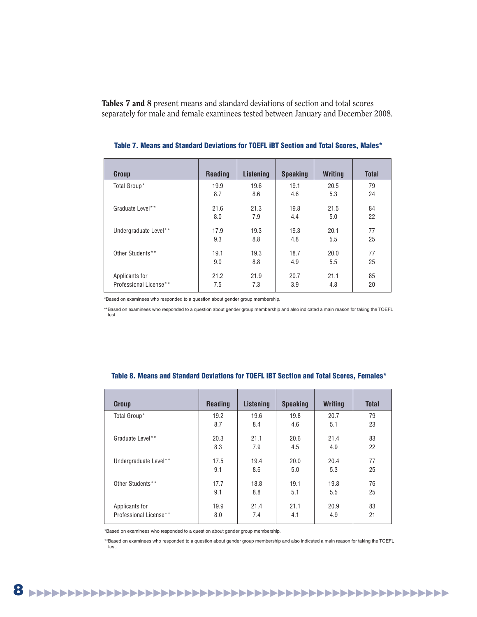**Tables 7 and 8** present means and standard deviations of section and total scores separately for male and female examinees tested between January and December 2008.

| <b>Group</b>           | <b>Reading</b> | Listening | <b>Speaking</b> | <b>Writing</b> | <b>Total</b> |
|------------------------|----------------|-----------|-----------------|----------------|--------------|
| Total Group*           | 19.9           | 19.6      | 19.1            | 20.5           | 79           |
|                        | 8.7            | 8.6       | 4.6             | 5.3            | 24           |
| Graduate Level**       | 21.6           | 21.3      | 19.8            | 21.5           | 84           |
|                        | 8.0            | 7.9       | 4.4             | 5.0            | 22           |
| Undergraduate Level**  | 17.9           | 19.3      | 19.3            | 20.1           | 77           |
|                        | 9.3            | 8.8       | 4.8             | 5.5            | 25           |
| Other Students**       | 19.1           | 19.3      | 18.7            | 20.0           | 77           |
|                        | 9.0            | 8.8       | 4.9             | 5.5            | 25           |
| Applicants for         | 21.2           | 21.9      | 20.7            | 21.1           | 85           |
| Professional License** | 7.5            | 7.3       | 3.9             | 4.8            | 20           |

| Table 7. Means and Standard Deviations for TOEFL iBT Section and Total Scores, Males* |  |  |
|---------------------------------------------------------------------------------------|--|--|
|---------------------------------------------------------------------------------------|--|--|

\*Based on examinees who responded to a question about gender group membership.

\*\*Based on examinees who responded to a question about gender group membership and also indicated a main reason for taking the TOEFL test.

| Group                  | <b>Reading</b> | Listening | <b>Speaking</b> | <b>Writing</b> | <b>Total</b> |
|------------------------|----------------|-----------|-----------------|----------------|--------------|
| Total Group*           | 19.2           | 19.6      | 19.8            | 20.7           | 79           |
|                        | 8.7            | 8.4       | 4.6             | 5.1            | 23           |
| Graduate Level**       | 20.3           | 21.1      | 20.6            | 21.4           | 83           |
|                        | 8.3            | 7.9       | 4.5             | 4.9            | 22           |
| Undergraduate Level**  | 17.5           | 19.4      | 20.0            | 20.4           | 77           |
|                        | 9.1            | 8.6       | 5.0             | 5.3            | 25           |
| Other Students**       | 17.7           | 18.8      | 19.1            | 19.8           | 76           |
|                        | 9.1            | 8.8       | 5.1             | 5.5            | 25           |
| Applicants for         | 19.9           | 21.4      | 21.1            | 20.9           | 83           |
| Professional License** | 8.0            | 7.4       | 4.1             | 4.9            | 21           |

### **Table 8. Means and Standard Deviations for TOEFL iBT Section and Total Scores, Females\***

\*Based on examinees who responded to a question about gender group membership.

\*\*Based on examinees who responded to a question about gender group membership and also indicated a main reason for taking the TOEFL test.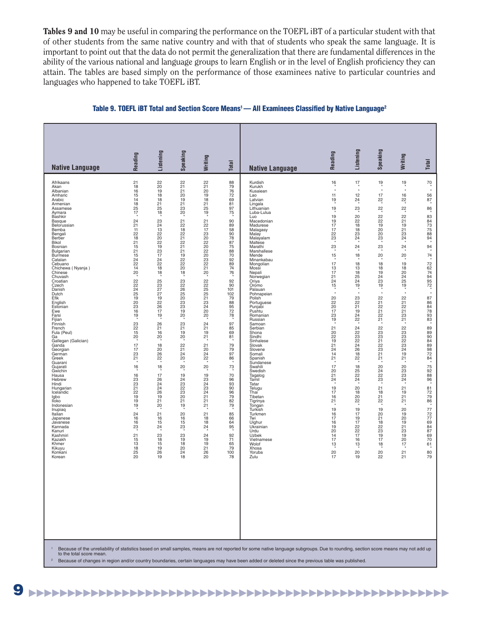**Tables 9 and 10** may be useful in comparing the performance on the TOEFL iBT of a particular student with that of other students from the same native country and with that of students who speak the same language. It is important to point out that the data do not permit the generalization that there are fundamental differences in the ability of the various national and language groups to learn English or in the level of English proficiency they can attain. The tables are based simply on the performance of those examinees native to particular countries and languages who happened to take TOEFL iBT.

### Table 9. TOEFL iBT Total and Section Score Means<sup>1</sup> — All Examinees Classified by Native Language<sup>2</sup>

<sup>2</sup> Because of changes in region and/or country boundaries, certain languages may have been added or deleted since the previous table was published.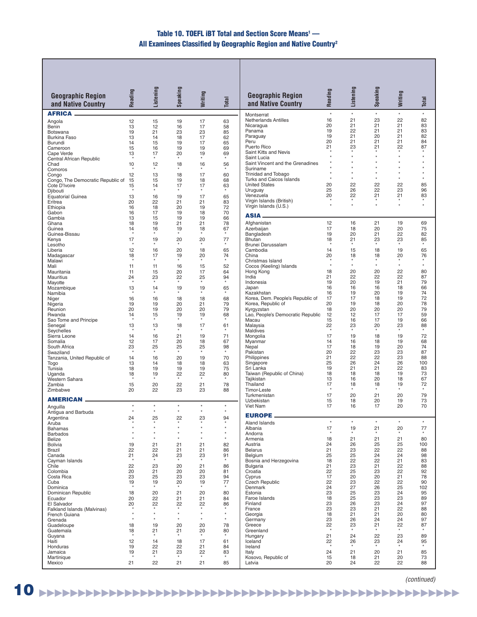# **Table 10. TOEFL iBT Total and Section Score Means1 — All Examinees Classified by Geographic Region and Native Country<sup>2</sup>**

| <b>Geographic Region</b>                     | Reading  | Listening          | Speaking           | Writing            | <b>Total</b>       | <b>Geographic Region</b>                               | Reading       | Listening     | Speaking             | Writing       | Total         |
|----------------------------------------------|----------|--------------------|--------------------|--------------------|--------------------|--------------------------------------------------------|---------------|---------------|----------------------|---------------|---------------|
| and Native Country                           |          |                    |                    |                    |                    | and Native Country                                     |               |               |                      |               |               |
| <b>AFRICA .</b>                              |          |                    |                    |                    |                    | Montserrat<br><b>Netherlands Antilles</b>              | $\star$<br>16 | $\star$<br>21 | $\star$<br>23        | $\star$<br>22 | $\star$<br>82 |
| Angola<br>Benin                              | 12<br>13 | 15<br>12           | 19<br>16           | 17<br>17           | 63<br>58           | Nicaragua                                              | 20            | 21            | 21                   | 21            | 83            |
| <b>Botswana</b>                              | 19       | 21                 | 23                 | 23                 | 85                 | Panama<br>Paraguay                                     | 19<br>19      | 22<br>21      | 21<br>20             | 21<br>21      | 83<br>82      |
| <b>Burkina Faso</b><br>Burundi               | 13<br>14 | 14<br>15           | 18<br>19           | 17<br>17           | 62<br>65           | Peru                                                   | 20            | 21            | 21                   | 21            | 84            |
| Cameroon                                     | 15       | 16                 | 19                 | 19                 | 69                 | Puerto Rico                                            | 21            | 23            | 21                   | 22<br>$\star$ | 87<br>$\star$ |
| Cape Verde<br>Central African Republic       | 13       | 17                 | 20                 | 19                 | 69                 | Saint Kitts and Nevis<br>Saint Lucia                   |               |               |                      | $\star$       |               |
| Chad                                         | 10       | 12                 | 18                 | 16                 | 56                 | Saint Vincent and the Grenadines                       |               |               |                      | $\star$       |               |
| Comoros<br>Congo                             | 12       | $\star$<br>13      | $\star$<br>18      | $\star$<br>17      | 60                 | Suriname<br>Trinidad and Tobago                        |               |               |                      | $\star$       |               |
| Congo, The Democratic Republic of            | 15       | 15                 | 19                 | 18                 | 68                 | Turks and Caicos Islands                               | $\star$       | $\star$       | $\star$              | $\star$       | $\star$       |
| Cote D'Ivoire                                | 15       | 14                 | 17<br>$\star$      | 17                 | 63                 | <b>United States</b><br>Uruguay                        | 20<br>25      | 22<br>26      | 22<br>22             | 22<br>23      | 85<br>96      |
| Djibouti<br><b>Equatorial Guinea</b>         | 13       | 16                 | 19                 | 17                 | 65                 | Venezuela                                              | 20            | 22            | 21                   | 21            | 83            |
| Eritrea                                      | 20       | 22                 | 21                 | 21                 | 83                 | Virgin Islands (British)<br>Virgin Islands (U.S.)      |               | $\star$       | $\ddot{\phantom{a}}$ | $\star$       | $\star$       |
| Ethiopia<br>Gabon                            | 16<br>16 | 18<br>17           | 20<br>19           | 19<br>18           | 72<br>70           |                                                        |               |               |                      |               |               |
| Gambia                                       | 13       | 15                 | 19                 | 19                 | 66                 | <b>ASIA</b>                                            |               |               |                      |               |               |
| Ghana<br>Guinea                              | 18<br>14 | 19<br>16           | 21<br>19           | 21<br>18           | 78<br>67           | Afghanistan<br>Azerbaijan                              | 12<br>17      | 16<br>18      | 21<br>20             | 19<br>20      | 69<br>75      |
| Guinea-Bissau                                |          | $\star$            | $\star$            | $\star$            |                    | Bangladesh                                             | 19            | 20            | 21                   | 22            | 82            |
| Kenya                                        | 17       | 19                 | 20                 | 20                 | 77                 | Bhutan                                                 | 18            | 21            | 23                   | 23<br>$\star$ | 85<br>$\star$ |
| Lesotho<br>Liberia                           | 12       | 16                 | 20                 | 18                 | 65                 | Brunei Darussalam<br>Cambodia                          | 14            | 15            | 18                   | 19            | 65            |
| Madagascar                                   | 18       | 17                 | 19<br>$\star$      | 20                 | 74<br>$\star$      | China                                                  | 20            | 18            | 18                   | 20            | 76            |
| Malawi<br>Mali                               | 11       | 11                 | 16                 | $\star$<br>15      | 52                 | Christmas Island<br>Cocos (Keeling) Islands            |               | $\star$       | $\star$              | $\star$       | $\star$       |
| Mauritania                                   | 11       | 15                 | 20                 | 17                 | 64                 | Hong Kong                                              | 18            | 20            | 20                   | 22            | 80            |
| Mauritius<br>Mayotte                         | 24       | 23                 | 22                 | 25                 | 94                 | India<br>Indonesia                                     | 21<br>19      | 22<br>20      | 22<br>19             | 22<br>21      | 87<br>79      |
| Mozambique                                   | 13       | 14                 | 19                 | 19                 | 65                 | Japan                                                  | 16            | 16            | 16                   | 18            | 66            |
| Namibia                                      |          |                    |                    |                    |                    | Kazakhstan                                             | 16            | 19            | 20                   | 19            | 74            |
| Niger<br>Nigeria                             | 16<br>19 | 16<br>19           | 18<br>20           | 18<br>21           | 68<br>79           | Korea, Dem. People's Republic of<br>Korea, Republic of | 17<br>20      | 17<br>19      | 18<br>18             | 19<br>20      | 72<br>78      |
| Reunion                                      | 20       | 19                 | 20                 | 20                 | 79                 | Kyrgyzstan                                             | 18            | 20            | 20                   | 20            | 79            |
| Rwanda<br>Sao Tome and Principe              | 14       | 15                 | 19<br>$\star$      | 19                 | 68                 | Lao, People's Democratic Republic<br>Macau             | 12<br>15      | 12<br>16      | 17<br>17             | 17<br>19      | 59<br>66      |
| Senegal                                      | 13       | 13                 | 18                 | 17                 | 61                 | Malaysia                                               | 22            | 23            | 20                   | 23            | 88            |
| Seychelles<br>Sierra Leone                   | 14       | 16                 | $\star$<br>21      | 19                 | $\star$<br>71      | <b>Maldives</b><br>Mongolia                            | 17            | 19            | 18                   | 19            | 72            |
| Somalia                                      | 12       | 17                 | 20                 | 18                 | 67                 | Myanmar                                                | 14            | 16            | 18                   | 19            | 68            |
| South Africa<br>Swaziland                    | 23       | 25                 | 25<br>$\star$      | 25<br>$\star$      | 98<br>$\star$      | Nepal<br>Pakistan                                      | 17<br>20      | 18<br>22      | 19<br>23             | 20<br>23      | 74<br>87      |
| Tanzania, United Republic of                 | 14       | 16                 | 20                 | 19                 | 70                 | Philippines                                            | 21            | 22            | 22                   | 23            | 88            |
| Togo                                         | 13       | 14                 | 18                 | 18                 | 63                 | Singapore<br>Sri Lanka                                 | 25            | 26            | 24                   | 26            | 100           |
| Tunisia<br>Uganda                            | 18<br>18 | 19<br>19           | 19<br>22           | 19<br>22           | 75<br>80           | Taiwan (Republic of China)                             | 19<br>18      | 21<br>18      | 21<br>18             | 22<br>19      | 83<br>73      |
| Western Sahara                               |          |                    | $\star$            | $\star$            |                    | Tajikistan                                             | 13            | 16            | 20                   | 18            | 67            |
| Zambia<br>Zimbabwe                           | 15<br>20 | 20<br>22           | 22<br>23           | 21<br>23           | 78<br>88           | Thailand<br>Timor-Leste                                | 17            | 18            | 18                   | 19            | 72            |
| <b>AMERICAN</b>                              |          |                    |                    |                    |                    | Turkmenistan                                           | 17            | 20            | 21                   | 20            | 79            |
| Anguilla                                     | $\star$  | $\star$            | $\star$            | $\star$            | $\star$            | Uzbekistan<br>Viet Nam                                 | 15<br>17      | 18<br>16      | 20<br>17             | 19<br>20      | 73<br>70      |
| Antigua and Barbuda                          |          | $\star$            | $\star$            | $\star$            | $\star$            | <b>EUROPE.</b>                                         |               |               |                      |               |               |
| Argentina<br>Aruba                           | 24       | 25<br>$\star$      | 22<br>$\star$      | 23<br>$\star$      | 94<br>$\star$      | Aland Islands                                          | $\star$       | $\star$       | $\star$              | $\star$       | $\star$       |
| <b>Bahamas</b>                               |          | $\star$            | $\star$            | $\star$            | $\star$            | Albania                                                | 17            | 19            | 21                   | 20            | 77            |
| <b>Barbados</b>                              |          |                    | $\star$<br>$\star$ | $\star$<br>$\star$ | $\star$<br>$\star$ | Andorra                                                | 18            | $\star$<br>21 | $\star$<br>21        | $\star$<br>21 | 80            |
| <b>Belize</b><br><b>Bolivia</b>              | 19       | 21                 | 21                 | 21                 | 82                 | Armenia<br>Austria                                     | 24            | 26            | 25                   | 25            | 100           |
| Brazil                                       | 22       | 22                 | 21                 | 21                 | 86                 | <b>Belarus</b>                                         | 21            | 23            | 22                   | 22            | 88            |
| Canada<br>Cayman Islands                     | 21       | 24                 | 23                 | 23                 | 91                 | Belgium<br>Bosnia and Herzegovina                      | 25<br>18      | 25<br>22      | 24<br>22             | 24<br>21      | 98<br>83      |
| Chile                                        | 22       | 23                 | 20                 | 21                 | 86                 | <b>Bulgaria</b>                                        | 21            | 23            | 21                   | 22            | 88            |
| Colombia<br>Costa Rica                       | 20<br>23 | 21<br>25           | 20<br>23           | 20<br>23           | 81<br>94           | Croatia<br>Cyprus                                      | 22<br>17      | 25<br>20      | 23<br>20             | 22<br>21      | 92<br>78      |
| Cuba                                         | 19       | 19                 | 20                 | 19                 | 77                 | Czech Republic                                         | 22            | 23            | 22                   | 22            | 90            |
| Dominica<br>Dominican Republic               | 18       | 20                 | 21                 | $\star$<br>20      | 80                 | Denmark<br>Estonia                                     | 24<br>23      | 27<br>25      | 26<br>23             | 25<br>24      | 102<br>95     |
| Ecuador                                      | 20       | 22                 | 21                 | 21                 | 84                 | Faroe Islands                                          | 18            | 25            | 23                   | 23            | 89            |
| El Salvador                                  | 20       | 22                 | 22                 | 22                 | 86                 | Finland                                                | 23            | 26            | 23                   | 24<br>22      | 97            |
| Falkland Islands (Malvinas)<br>French Guiana |          | $\star$            | $\star$            | $\star$            | $\star$            | France<br>Georgia                                      | 23<br>18      | 23<br>21      | 21<br>21             | 20            | 88<br>80      |
| Grenada                                      |          | $\star$            | $\star$            | $\star$            | $^\star$           | Germany                                                | 23            | 26            | 24                   | 24            | 97            |
| Guadeloupe<br>Guatemala                      | 18<br>18 | 19<br>21           | 20<br>21           | 20<br>20           | 78<br>80           | Greece<br>Greenland                                    | 22            | 23            | 21                   | 22            | 87            |
| Guyana                                       |          |                    |                    |                    |                    | Hungary                                                | 21            | 24            | 22                   | 23            | 89            |
| Haiti<br>Honduras                            | 12<br>19 | 14<br>22           | 18<br>22           | 17<br>21           | 61<br>84           | Iceland<br>Ireland                                     | 22            | 26            | 23                   | 24            | 95            |
| Jamaica                                      | 19       | 21                 | 23                 | 22                 | 83                 | Italy                                                  | 24            | 21            | 20                   | 21            | 85            |
| Martinique<br>Mexico                         | 21       | $\pmb{\ast}$<br>22 | $\star$<br>21      | $\star$<br>21      | 85                 | Kosovo, Republic of<br>Latvia                          | 15<br>20      | 18<br>24      | 21<br>22             | 20<br>22      | 73<br>88      |
|                                              |          |                    |                    |                    |                    |                                                        |               |               |                      |               |               |

(continued)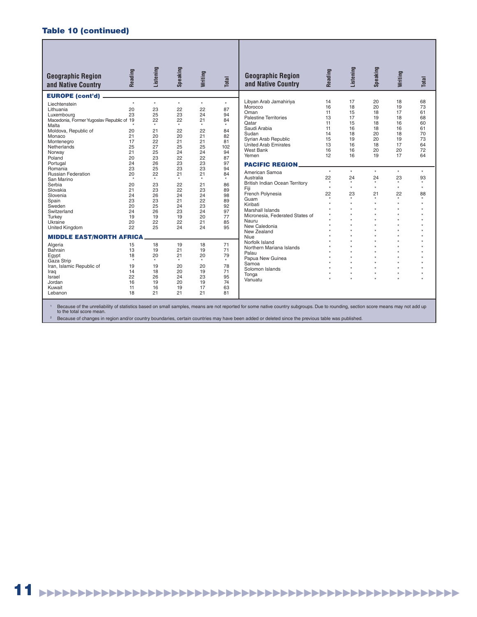# **Table 10 (continued)**

| <b>Geographic Region</b><br>and Native Country | Reading              | Listening | Speaking  | Writing | Total   | <b>Geographic Region</b><br>and Native Country                                                                                                                                   | Reading       | Listening           | Speaking        | Writing             | Total         |
|------------------------------------------------|----------------------|-----------|-----------|---------|---------|----------------------------------------------------------------------------------------------------------------------------------------------------------------------------------|---------------|---------------------|-----------------|---------------------|---------------|
| <b>EUROPE (cont'd)</b>                         |                      |           |           |         |         |                                                                                                                                                                                  |               |                     |                 |                     |               |
| Liechtenstein                                  | $\star$              | $\star$   | $\star$   | $\star$ | $\star$ | Libyan Arab Jamahiriya                                                                                                                                                           | 14            | 17                  | 20              | 18                  | 68            |
| Lithuania                                      | 20                   | 23        | 22        | 22      | 87      | Morocco                                                                                                                                                                          | 16            | 18                  | 20              | 19                  | 73            |
| Luxembourg                                     | 23                   | 25        | 23        | 24      | 94      | Oman                                                                                                                                                                             | 11            | 15                  | 18              | 17                  | 61            |
| Macedonia, Former Yugoslav Republic of 19      |                      | 22        | 22        | 21      | 84      | <b>Palestine Territories</b>                                                                                                                                                     | 13            | 17                  | 19              | 18                  | 68            |
| Malta                                          |                      |           |           | $\star$ | $\star$ | Oatar                                                                                                                                                                            | 11            | 15                  | 18              | 16                  | 60            |
| Moldova, Republic of                           | 20                   | 21        | 22        | 22      | 84      | Saudi Arabia                                                                                                                                                                     | 11            | 16                  | 18              | 16                  | 61            |
| Monaco                                         | 21                   | 20        | 20        | 21      | 82      | Sudan                                                                                                                                                                            | 14            | 18                  | 20              | 18                  | 70            |
| Montenegro                                     | 17                   | 22        | 21        | 21      | 81      | Syrian Arab Republic                                                                                                                                                             | 15            | 19                  | 20              | 19                  | 73            |
| Netherlands                                    | 25                   | 27        | 25        | 25      | 102     | United Arab Emirates                                                                                                                                                             | 13            | 16                  | 18              | 17                  | 64            |
| Norway                                         | 21                   | 25        | 24        | 24      | 94      | West Bank                                                                                                                                                                        | 16            | 16                  | 20              | 20                  | 72            |
| Poland                                         | 20                   | 23        | 22        | 22      | 87      | Yemen                                                                                                                                                                            | 12            | 16                  | 19              | 17                  | 64            |
| Portugal                                       | 24                   | 26        | 23        | 23      | 97      | <b>PACIFIC REGION.</b>                                                                                                                                                           |               |                     |                 |                     |               |
| Romania                                        | 23                   | 25        | 23        | 23      | 94      |                                                                                                                                                                                  | $\star$       | $\star$             | $\star$         | $\star$             | $\star$       |
| <b>Russian Federation</b>                      | 20                   | 22        | 21        | 21      | 84      | American Samoa                                                                                                                                                                   |               |                     |                 |                     |               |
| San Marino                                     | $\star$              |           |           | $\star$ | $\star$ | Australia                                                                                                                                                                        | 22<br>$\star$ | 24<br>$\star$       | 24<br>$\bullet$ | 23<br>$\star$       | 93<br>$\star$ |
| Serbia                                         | 20                   | 23        | 22        | 21      | 86      | <b>British Indian Ocean Territory</b>                                                                                                                                            | $\bullet$     | $\star$             | ÷               | $\boldsymbol{\ast}$ | $\mathbf{r}$  |
| Slovakia                                       | 21                   | 23        | 22        | 23      | 89      | Fiji                                                                                                                                                                             |               |                     |                 |                     |               |
| Slovenia                                       | 24                   | 26        | 24        | 24      | 98      | French Polynesia                                                                                                                                                                 | 22<br>$\star$ | 23<br>$\star$       | 21              | 22<br>$\star$       | 88<br>$\star$ |
| Spain                                          | 23                   | 23        | 21        | 22      | 89      | Guam                                                                                                                                                                             | $\star$       | $\boldsymbol{\ast}$ | ×               | $\star$             |               |
| Sweden                                         | 20                   | 25        | 24        | 23      | 92      | Kiribati                                                                                                                                                                         | $\bullet$     |                     | ٠               | $\star$             |               |
| Switzerland                                    | 24                   | 26        | 23        | 24      | 97      | <b>Marshall Islands</b>                                                                                                                                                          |               |                     |                 | $\boldsymbol{\ast}$ |               |
| Turkev                                         | 19                   | 19        | 19        | 20      | 77      | Micronesia. Federated States of                                                                                                                                                  | $\bullet$     |                     | ×               | $\boldsymbol{\ast}$ |               |
| Ukraine                                        | 20                   | 22        | 22        | 21      | 85      | Nauru                                                                                                                                                                            |               |                     |                 | $\star$             |               |
| <b>United Kingdom</b>                          | 22                   | 25        | 24        | 24      | 95      | New Caledonia                                                                                                                                                                    | $\mathbf{r}$  |                     | ×               | $\boldsymbol{\ast}$ |               |
| <b>MIDDLE EAST/NORTH AFRICA</b>                |                      |           |           |         |         | New Zealand<br>Niue                                                                                                                                                              |               |                     |                 |                     |               |
|                                                |                      |           |           |         |         | Norfolk Island                                                                                                                                                                   |               |                     | ×               | $\boldsymbol{\ast}$ |               |
| Algeria                                        | 15                   | 18        | 19        | 18      | 71      | Northern Mariana Islands                                                                                                                                                         |               |                     |                 |                     |               |
| Bahrain                                        | 13                   | 19        | 21        | 19      | 71      | Palau                                                                                                                                                                            |               |                     | $\star$         | $\star$             |               |
| Egypt                                          | 18                   | 20        | 21        | 20      | 79      | Papua New Guinea                                                                                                                                                                 |               |                     |                 |                     |               |
| Gaza Strip                                     | $\boldsymbol{\star}$ | ÷.        | $\bullet$ | $\star$ | $\star$ | Samoa                                                                                                                                                                            |               |                     | ٠               | $\boldsymbol{\Psi}$ |               |
| Iran, Islamic Republic of                      | 19                   | 19        | 20        | 20      | 78      | Solomon Islands                                                                                                                                                                  |               |                     |                 | $\star$             |               |
| Iraq                                           | 14                   | 18        | 20        | 19      | 71      | Tonga                                                                                                                                                                            | $\mathbf{r}$  | $\star$             | $\star$         | $\star$             |               |
| Israel                                         | 22                   | 26        | 24        | 23      | 95      | Vanuatu                                                                                                                                                                          | $\bullet$     | $\omega$            |                 |                     |               |
| Jordan                                         | 16                   | 19        | 20        | 19      | 74      |                                                                                                                                                                                  |               |                     |                 |                     |               |
| Kuwait                                         | 11                   | 16        | 19        | 17      | 63      |                                                                                                                                                                                  |               |                     |                 |                     |               |
| Lebanon                                        | 18                   | 21        | 21        | 21      | 81      |                                                                                                                                                                                  |               |                     |                 |                     |               |
|                                                |                      |           |           |         |         | Because of the unreliability of statistics based on small samples, means are not reported for some native country subgroups. Due to rounding, section score means may not add up |               |                     |                 |                     |               |

to the total score mean. 2 Because of changes in region and/or country boundaries, certain countries may have been added or deleted since the previous table was published.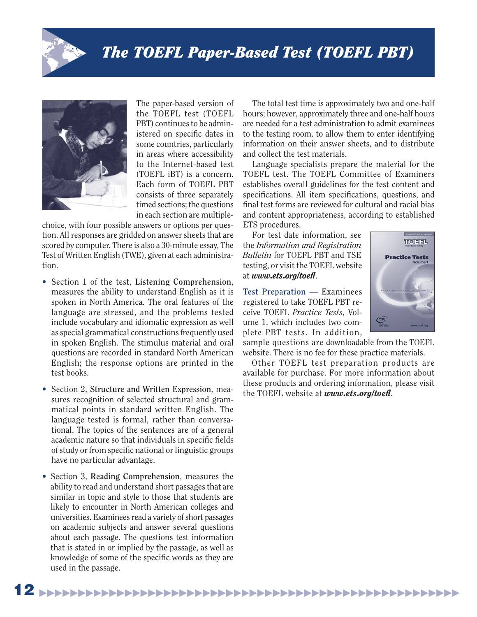



The paper-based version of the TOEFL test (TOEFL PBT) continues to be administered on specific dates in some countries, particularly in areas where accessibility to the Internet-based test (TOEFL iBT) is a concern. Each form of TOEFL PBT consists of three separately timed sections; the questions in each section are multiple-

choice, with four possible answers or options per question. All responses are gridded on answer sheets that are scored by computer. There is also a 30-minute essay, The Test of Written English (TWE), given at each administration.

- Section 1 of the test, **Listening Comprehension**, measures the ability to understand English as it is spoken in North America. The oral features of the language are stressed, and the problems tested include vocabulary and idiomatic expression as well as special grammatical constructions frequently used in spoken English. The stimulus material and oral questions are recorded in standard North American English; the response options are printed in the test books.
- Section 2, **Structure and Written Expression**, measures recognition of selected structural and grammatical points in standard written English. The language tested is formal, rather than conversational. The topics of the sentences are of a general academic nature so that individuals in specific fields of study or from specific national or linguistic groups have no particular advantage.
- Section 3, **Reading Comprehension**, measures the ability to read and understand short passages that are similar in topic and style to those that students are likely to encounter in North American colleges and universities. Examinees read a variety of short passages on academic subjects and answer several questions about each passage. The questions test information that is stated in or implied by the passage, as well as knowledge of some of the specific words as they are used in the passage.

The total test time is approximately two and one-half hours; however, approximately three and one-half hours are needed for a test administration to admit examinees to the testing room, to allow them to enter identifying information on their answer sheets, and to distribute and collect the test materials.

 Language specialists prepare the material for the TOEFL test. The TOEFL Committee of Examiners establishes overall guidelines for the test content and specifications. All item specifications, questions, and final test forms are reviewed for cultural and racial bias and content appropriateness, according to established ETS procedures.

 For test date information, see the *Information and Registration Bulletin* for TOEFL PBT and TSE testing, or visit the TOEFL website at *www.ets.org/toefl*.

**Test Preparation** — Examinees registered to take TOEFL PBT receive TOEFL *Practice Tests*, Volume 1, which includes two complete PBT tests. In addition,



sample questions are downloadable from the TOEFL website. There is no fee for these practice materials.

 Other TOEFL test preparation products are available for purchase. For more information about these products and ordering information, please visit the TOEFL website at *www.ets.org/toefl*.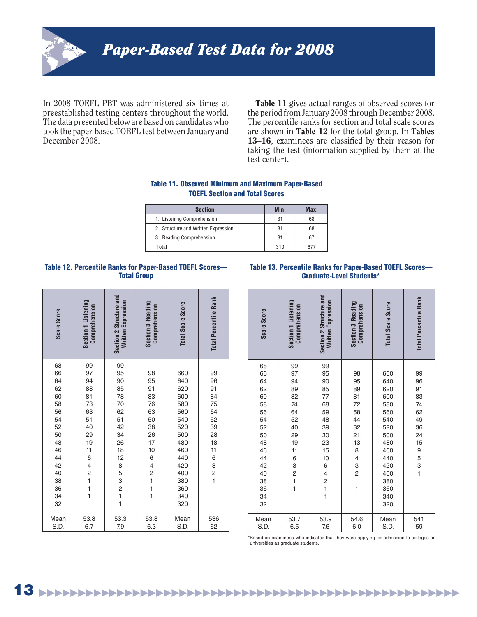

In 2008 TOEFL PBT was administered six times at preestablished testing centers throughout the world. The data presented below are based on candidates who took the paper-based TOEFL test between January and December 2008.

**Table 11** gives actual ranges of observed scores for the period from January 2008 through December 2008. The percentile ranks for section and total scale scores are shown in **Table 12** for the total group. In **Tables**  13–16, examinees are classified by their reason for taking the test (information supplied by them at the test center).

# **Table 11. Observed Minimum and Maximum Paper-Based TOEFL Section and Total Scores**

| <b>Section</b>                      | Min. | Max. |
|-------------------------------------|------|------|
| 1. Listening Comprehension          | 31   | 68   |
| 2. Structure and Written Expression | 31   | 68   |
| 3. Reading Comprehension            | 31   | 67   |
| Total                               | 310  | 677  |

# **Table 12. Percentile Ranks for Paper-Based TOEFL Scores— Total Group**

#### **Table 13. Percentile Ranks for Paper-Based TOEFL Scores— Graduate-Level Students\***

| Scale Score | Section 1 Listening<br>Comprehension | Section 2 Structure and<br>Written Expression | <b>Section 3 Reading</b><br>Comprehension | <b>Total Scale Score</b> | <b>Total Percentile Rank</b> |
|-------------|--------------------------------------|-----------------------------------------------|-------------------------------------------|--------------------------|------------------------------|
| 68          | 99                                   | 99                                            |                                           |                          |                              |
| 66          | 97                                   | 95                                            | 98                                        | 660                      | 99                           |
| 64          | 94                                   | 90                                            | 95                                        | 640                      | 96                           |
| 62          | 88                                   | 85                                            | 91                                        | 620                      | 91                           |
| 60          | 81                                   | 78                                            | 83                                        | 600                      | 84                           |
| 58          | 73                                   | 70                                            | 76                                        | 580                      | 75                           |
| 56          | 63                                   | 62                                            | 63                                        | 560                      | 64                           |
| 54          | 51                                   | 51                                            | 50                                        | 540                      | 52                           |
| 52          | 40                                   | 42                                            | 38                                        | 520                      | 39                           |
| 50          | 29                                   | 34                                            | 26                                        | 500                      | 28                           |
| 48          | 19                                   | 26                                            | 17                                        | 480                      | 18                           |
| 46          | 11                                   | 18                                            | 10                                        | 460                      | 11                           |
| 44          | 6                                    | 12                                            | 6                                         | 440                      | 6                            |
| 42          | $\overline{\mathcal{L}}$             | 8                                             | 4211                                      | 420                      | 3                            |
| 40          | $\overline{c}$                       | 5                                             |                                           | 400                      | $\overline{c}$               |
| 38          | $\mathbf{1}$                         | 3                                             |                                           | 380                      | $\mathbf{1}$                 |
| 36          | 1                                    | $\frac{2}{1}$                                 |                                           | 360                      |                              |
| 34          | $\mathbf{1}$                         |                                               |                                           | 340                      |                              |
| 32          |                                      | $\mathbf{1}$                                  |                                           | 320                      |                              |
| Mean        | 53.8                                 | 53.3                                          | 53.8                                      | Mean                     | 536                          |
| S.D.        | 6.7                                  | 7.9                                           | 6.3                                       | S.D.                     | 62                           |

| Scale Score                                                                                                    | Section 1 Listening<br>Comprehension                                          | Section 2 Structure and<br>Written Expression                                                                                                                         | <b>Section 3 Reading</b><br>Comprehension                                                                                                       | <b>Total Scale Score</b>                                                                                                   | <b>Total Percentile Rank</b>                                                                                |
|----------------------------------------------------------------------------------------------------------------|-------------------------------------------------------------------------------|-----------------------------------------------------------------------------------------------------------------------------------------------------------------------|-------------------------------------------------------------------------------------------------------------------------------------------------|----------------------------------------------------------------------------------------------------------------------------|-------------------------------------------------------------------------------------------------------------|
| 68<br>66<br>64<br>62<br>60<br>58<br>56<br>54<br>52<br>50<br>48<br>46<br>44<br>42<br>40<br>38<br>36<br>34<br>32 | 99<br>97<br>94<br>89<br>82<br>74<br>64<br>52<br>40<br>29<br>19<br>11<br>63211 | 99<br>95<br>90<br>85<br>77<br>68<br>59<br>48<br>39<br>30<br>23<br>15<br>10<br>6<br>$\overline{\mathbf{4}}$<br>$\overline{c}$<br>$\begin{array}{c} 1 \\ 1 \end{array}$ | 98<br>95<br>89<br>81<br>72<br>58<br>44<br>32<br>21<br>13<br>8<br>4<br>3<br>$\overline{c}$<br>$\overline{\mathbf{1}}$<br>$\overline{\mathbf{1}}$ | 660<br>640<br>620<br>600<br>580<br>560<br>540<br>520<br>500<br>480<br>460<br>440<br>420<br>400<br>380<br>360<br>340<br>320 | 99<br>96<br>91<br>83<br>74<br>62<br>49<br>36<br>24<br>15<br>$\begin{array}{c} 9 \\ 5 \\ 3 \\ 1 \end{array}$ |
| Mean<br>S.D.                                                                                                   | 53.7<br>6.5                                                                   | 53.9<br>7.6                                                                                                                                                           | 54.6<br>6.0                                                                                                                                     | Mean<br>S.D.                                                                                                               | 541<br>59                                                                                                   |

\*Based on examinees who indicated that they were applying for admission to colleges or universities as graduate students.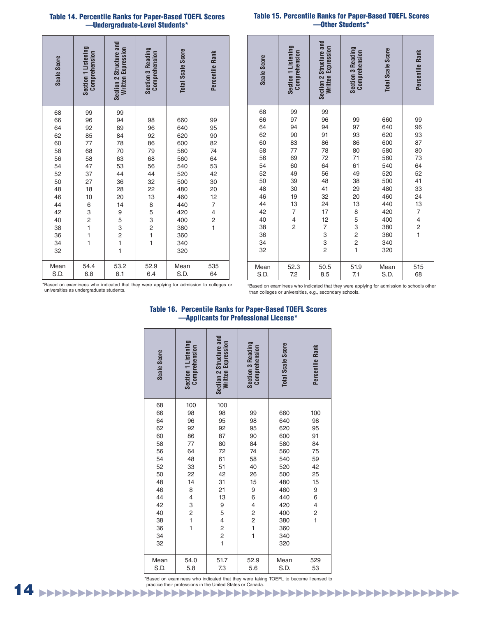#### **Table 14. Percentile Ranks for Paper-Based TOEFL Scores —Undergraduate-Level Students\***

| Scale Score | Section 1 Listening<br>Comprehension | Section 2 Structure and<br>Written Expression | <b>Section 3 Reading</b><br>Comprehension       | <b>Total Scale Score</b> | Percentile Rank          |
|-------------|--------------------------------------|-----------------------------------------------|-------------------------------------------------|--------------------------|--------------------------|
| 68          | 99                                   | 99                                            |                                                 |                          |                          |
| 66          | 96                                   | 94                                            | 98                                              | 660                      | 99                       |
| 64          | 92                                   | 89                                            | 96                                              | 640                      | 95                       |
| 62          | 85                                   | 84                                            | 92                                              | 620                      | 90                       |
| 60          | 77                                   | 78                                            | 86                                              | 600                      | 82                       |
| 58          | 68                                   | 70                                            | 79                                              | 580                      | 74                       |
| 56          | 58                                   | 63                                            | 68                                              | 560                      | 64                       |
| 54          | 47                                   | 53                                            | 56                                              | 540                      | 53                       |
| 52          | 37                                   | 44                                            | 44                                              | 520                      | 42                       |
| 50          | 27                                   | 36                                            | 32                                              | 500                      | 30                       |
| 48          | 18                                   | 28                                            | 22                                              | 480                      | 20                       |
| 46          | 10                                   | 20                                            | 13                                              | 460                      | 12                       |
| 44          |                                      | 14                                            | 8                                               | 440                      | $\overline{7}$           |
| 42          |                                      | 9                                             | 5                                               | 420                      | $\overline{\mathcal{L}}$ |
| 40          |                                      |                                               |                                                 | 400                      | $\overline{c}$           |
| 38          |                                      |                                               |                                                 | 380                      | $\overline{1}$           |
| 36          | 632111                               | 53211                                         | $\begin{array}{c} 3 \\ 2 \\ 1 \\ 1 \end{array}$ | 360                      |                          |
| 34          |                                      |                                               |                                                 | 340                      |                          |
| 32          |                                      |                                               |                                                 | 320                      |                          |
| Mean        | 54.4                                 | 53.2                                          | 52.9                                            | Mean                     | 535                      |
| S.D.        | 6.8                                  | 8.1                                           | 6.4                                             | S.D.                     | 64                       |

|  | <b>Table 15. Percentile Ranks for Paper-Based TOEFL Scores</b> |  |
|--|----------------------------------------------------------------|--|
|  | -Other Students*                                               |  |

| Scale Score                                                                                                    | Section 1 Listening<br>Comprehension                                                                                                                 | Section 2 Structure and<br>Written Expression                                                                                  | <b>Section 3 Reading</b><br>Comprehension                                                                                         | <b>Total Scale Score</b>                                                                                                   | Percentile Rank                                                                                                                                |
|----------------------------------------------------------------------------------------------------------------|------------------------------------------------------------------------------------------------------------------------------------------------------|--------------------------------------------------------------------------------------------------------------------------------|-----------------------------------------------------------------------------------------------------------------------------------|----------------------------------------------------------------------------------------------------------------------------|------------------------------------------------------------------------------------------------------------------------------------------------|
| 68<br>66<br>64<br>62<br>60<br>58<br>56<br>54<br>52<br>50<br>48<br>46<br>44<br>42<br>40<br>38<br>36<br>34<br>32 | 99<br>97<br>94<br>90<br>83<br>77<br>69<br>60<br>49<br>39<br>30<br>19<br>13<br>$\overline{\mathcal{I}}$<br>$\overline{\mathcal{L}}$<br>$\overline{c}$ | 99<br>96<br>94<br>91<br>86<br>78<br>72<br>64<br>56<br>48<br>41<br>32<br>24<br>17<br>12<br>$\overline{7}$<br>3<br>$\frac{3}{2}$ | 99<br>97<br>93<br>86<br>80<br>71<br>61<br>49<br>38<br>29<br>20<br>13<br>8<br>5<br>$\begin{array}{c} 3 \\ 2 \\ 2 \\ 1 \end{array}$ | 660<br>640<br>620<br>600<br>580<br>560<br>540<br>520<br>500<br>480<br>460<br>440<br>420<br>400<br>380<br>360<br>340<br>320 | 99<br>96<br>93<br>87<br>80<br>73<br>64<br>52<br>41<br>33<br>24<br>13<br>7<br>$\overline{\mathcal{L}}$<br>$\begin{array}{c} 2 \\ 1 \end{array}$ |
| Mean<br>S.D.                                                                                                   | 52.3<br>7.2                                                                                                                                          | 50.5<br>8.5                                                                                                                    | 51.9<br>7.1                                                                                                                       | Mean<br>S.D.                                                                                                               | 515<br>68                                                                                                                                      |

\*Based on examinees who indicated that they were applying for admission to colleges or universities as undergraduate students.

\*Based on examinees who indicated that they were applying for admission to schools other than colleges or universities, e.g., secondary schools.

| Applicalito Tul<br><b>IDIGSSIDIIAI LIUGIISG</b>                                                                |                                                                                                                                                     |                                                                                                                                                                |                                                                                                                                                 |                                                                                                                            |                                                                                                                 |  |  |  |  |  |
|----------------------------------------------------------------------------------------------------------------|-----------------------------------------------------------------------------------------------------------------------------------------------------|----------------------------------------------------------------------------------------------------------------------------------------------------------------|-------------------------------------------------------------------------------------------------------------------------------------------------|----------------------------------------------------------------------------------------------------------------------------|-----------------------------------------------------------------------------------------------------------------|--|--|--|--|--|
| Scale Score                                                                                                    | Section 1 Listening<br>Comprehension                                                                                                                | Section 2 Structure and<br><b>Written Expression</b>                                                                                                           | <b>Section 3 Reading</b><br>Comprehension                                                                                                       | <b>Total Scale Score</b>                                                                                                   | Percentile Rank                                                                                                 |  |  |  |  |  |
| 68<br>66<br>64<br>62<br>60<br>58<br>56<br>54<br>52<br>50<br>48<br>46<br>44<br>42<br>40<br>38<br>36<br>34<br>32 | 100<br>98<br>96<br>92<br>86<br>77<br>64<br>48<br>33<br>22<br>14<br>8<br>$\overline{\mathcal{L}}$<br>3<br>$\begin{array}{c} 2 \\ 1 \\ 1 \end{array}$ | 100<br>98<br>95<br>92<br>87<br>80<br>72<br>61<br>51<br>42<br>31<br>21<br>13<br>9<br>5<br>$\overline{\mathbf{4}}$<br>$\begin{array}{c} 2 \\ 2 \\ 1 \end{array}$ | 99<br>98<br>95<br>90<br>84<br>74<br>58<br>40<br>26<br>15<br>9<br>6<br>$\overline{\mathcal{L}}$<br>$\frac{2}{2}$<br>$\mathbf{1}$<br>$\mathbf{1}$ | 660<br>640<br>620<br>600<br>580<br>560<br>540<br>520<br>500<br>480<br>460<br>440<br>420<br>400<br>380<br>360<br>340<br>320 | 100<br>98<br>95<br>91<br>84<br>75<br>59<br>42<br>25<br>15<br>9<br>6<br>$\overline{\mathbf{r}}$<br>$\frac{2}{1}$ |  |  |  |  |  |
| Mean<br>S.D.                                                                                                   | 54.0<br>5.8                                                                                                                                         | 51.7<br>7.3                                                                                                                                                    | 52.9<br>5.6                                                                                                                                     | Mean<br>S.D.                                                                                                               | 529<br>53                                                                                                       |  |  |  |  |  |

### **Table 16. Percentile Ranks for Paper-Based TOEFL Scores —Applicants for Professional License\***

▶▶▶▶▶▶▶▶▶▶▶▶▶▶▶▶▶▶▶▶▶▶▶▶▶▶▶▶▶▶▶▶▶▶▶▶▶▶▶▶▶▶▶▶▶▶▶▶▶▶▶▶▶▶ \*Based on examinees who indicated that they were taking TOEFL to become licensed to practice their professions in the United States or Canada.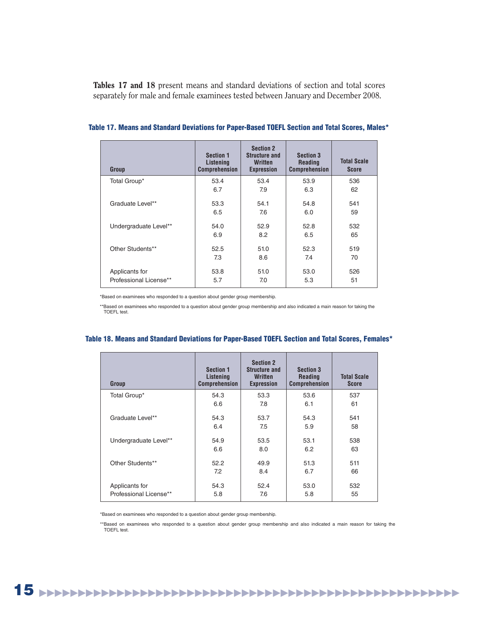**Tables 17 and 18** present means and standard deviations of section and total scores separately for male and female examinees tested between January and December 2008.

| Group                  | <b>Section 1</b><br>Listening<br><b>Comprehension</b> | <b>Section 2</b><br><b>Structure and</b><br>Written<br><b>Expression</b> | <b>Section 3</b><br><b>Reading</b><br><b>Comprehension</b> | <b>Total Scale</b><br><b>Score</b> |
|------------------------|-------------------------------------------------------|--------------------------------------------------------------------------|------------------------------------------------------------|------------------------------------|
| Total Group*           | 53.4                                                  | 53.4                                                                     | 53.9                                                       | 536                                |
|                        | 6.7                                                   | 7.9                                                                      | 6.3                                                        | 62                                 |
| Graduate Level**       | 53.3                                                  | 54.1                                                                     | 54.8                                                       | 541                                |
|                        | 6.5                                                   | 7.6                                                                      | 6.0                                                        | 59                                 |
| Undergraduate Level**  | 54.0                                                  | 52.9                                                                     | 52.8                                                       | 532                                |
|                        | 6.9                                                   | 8.2                                                                      | 6.5                                                        | 65                                 |
| Other Students**       | 52.5                                                  | 51.0                                                                     | 52.3                                                       | 519                                |
|                        | 7.3                                                   | 8.6                                                                      | 7.4                                                        | 70                                 |
| Applicants for         | 53.8                                                  | 51.0                                                                     | 53.0                                                       | 526                                |
| Professional License** | 5.7                                                   | 7.0                                                                      | 5.3                                                        | 51                                 |

#### **Table 17. Means and Standard Deviations for Paper-Based TOEFL Section and Total Scores, Males\***

\*Based on examinees who responded to a question about gender group membership.

\*\*Based on examinees who responded to a question about gender group membership and also indicated a main reason for taking the TOEFL test.

| Group                  | <b>Section 1</b><br>Listening<br><b>Comprehension</b> | <b>Section 2</b><br><b>Structure and</b><br><b>Written</b><br><b>Expression</b> | <b>Section 3</b><br><b>Reading</b><br><b>Comprehension</b> | <b>Total Scale</b><br>Score |
|------------------------|-------------------------------------------------------|---------------------------------------------------------------------------------|------------------------------------------------------------|-----------------------------|
| Total Group*           | 54.3                                                  | 53.3                                                                            | 53.6                                                       | 537                         |
|                        | 6.6                                                   | 7.8                                                                             | 6.1                                                        | 61                          |
| Graduate Level**       | 54.3                                                  | 53.7                                                                            | 54.3                                                       | 541                         |
|                        | 6.4                                                   | 7.5                                                                             | 5.9                                                        | 58                          |
| Undergraduate Level**  | 54.9                                                  | 53.5                                                                            | 53.1                                                       | 538                         |
|                        | 6.6                                                   | 8.0                                                                             | 6.2                                                        | 63                          |
| Other Students**       | 52.2                                                  | 49.9                                                                            | 51.3                                                       | 511                         |
|                        | 7.2                                                   | 8.4                                                                             | 6.7                                                        | 66                          |
| Applicants for         | 54.3                                                  | 52.4                                                                            | 53.0                                                       | 532                         |
| Professional License** | 5.8                                                   | 7.6                                                                             | 5.8                                                        | 55                          |

### **Table 18. Means and Standard Deviations for Paper-Based TOEFL Section and Total Scores, Females\***

\*Based on examinees who responded to a question about gender group membership.

\*\*Based on examinees who responded to a question about gender group membership and also indicated a main reason for taking the TOEFL test.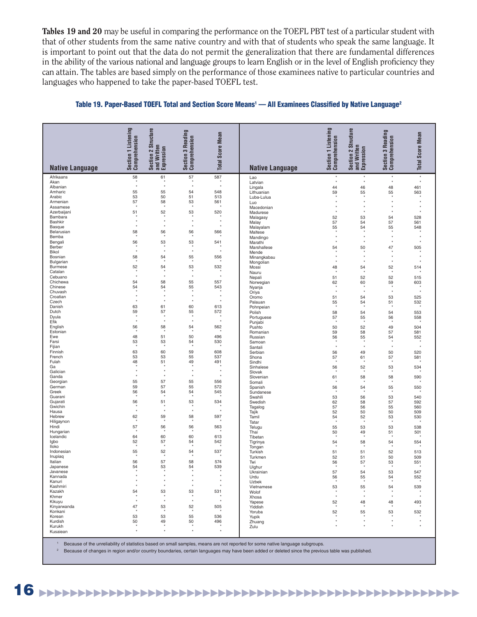**Tables 19 and 20** may be useful in comparing the performance on the TOEFL PBT test of a particular student with that of other students from the same native country and with that of students who speak the same language. It is important to point out that the data do not permit the generalization that there are fundamental differences in the ability of the various national and language groups to learn English or in the level of English proficiency they can attain. The tables are based simply on the performance of those examinees native to particular countries and languages who happened to take the paper-based TOEFL test.

| <b>Native Language</b>    | Section 1 Listening<br>Comprehension | 2 Structure<br>Section 2 Str<br>and Written<br>Expression | Reading<br>Section 3 Readin<br>Comprehension | <b>Total Score Mean</b> | <b>Native Language</b> | Listening<br>Section 1 Listeni<br>Comprehension | 2 Structure<br>Section 2 Str<br>and Written<br>Expression | Reading<br><b>Section 3 Readin</b><br>Comprehension | <b>Total Score Mean</b> |
|---------------------------|--------------------------------------|-----------------------------------------------------------|----------------------------------------------|-------------------------|------------------------|-------------------------------------------------|-----------------------------------------------------------|-----------------------------------------------------|-------------------------|
| Afrikaans                 | 58                                   | 61                                                        | 57                                           | 587                     | Lao                    | $\star$                                         | $\star$                                                   | $\star$                                             | $\star$                 |
| Akan                      | $\star$                              |                                                           |                                              | $\star$                 | Latvian                | ۸                                               | $\star$                                                   | $\star$                                             | $\star$                 |
| Albanian<br>Amharic       | 55                                   | $\star$<br>55                                             | $\star$<br>54                                | 548                     | Lingala<br>Lithuanian  | 44<br>59                                        | 46<br>55                                                  | 48<br>55                                            | 461<br>563              |
| Arabic                    | 53                                   | 50                                                        | 51                                           | 513                     | Luba-Lulua             |                                                 |                                                           |                                                     |                         |
| Armenian                  | 57                                   | 58                                                        | 53                                           | 561                     | Luo                    |                                                 | $\star$                                                   | $\star$                                             |                         |
| Assamese<br>Azerbaijani   | $^\star$<br>51                       | 52                                                        | 53                                           | 520                     | Macedonian             | $\star$<br>$\star$                              | $\star$<br>$\star$                                        | $\star$<br>$\star$                                  |                         |
| Bambara                   |                                      | ٠                                                         |                                              |                         | Madurese<br>Malagasy   | 52                                              | 53                                                        | 54                                                  | 528                     |
| Bashkir                   | $\star$<br>$\star$                   | $\star$<br>$\star$                                        | $^\star$<br>$\star$                          | $\star$<br>$\star$      | Malay                  | 57                                              | 54                                                        | 57                                                  | 561                     |
| Basque<br>Belarusian      | 58                                   | 56                                                        | 56                                           | 566                     | Malayalam              | 55                                              | 54                                                        | 55                                                  | 548                     |
| Bemba                     |                                      |                                                           |                                              |                         | Maltese<br>Mandingo    |                                                 |                                                           | $\star$                                             |                         |
| Bengali                   | 56                                   | 53                                                        | 53                                           | 541                     | Marathi                | $\star$                                         | $\star$                                                   | $\star$                                             |                         |
| Berber<br>Bikol           | $\star$<br>$\star$                   | $\star$<br>$\star$                                        | $\star$<br>$\star$                           | ۸<br>$\star$            | Marshallese<br>Mende   | 54                                              | 50                                                        | 47                                                  | 505                     |
| Bosnian                   | 58                                   | 54                                                        | 55                                           | 556                     | Minangkabau            | $\star$                                         | $\star$                                                   | $\star$                                             |                         |
| Bulgarian                 | $\star$                              |                                                           |                                              | $\star$                 | Mongolian              | $\star$                                         | $\star$                                                   | $\star$                                             | $\bullet$               |
| <b>Burmese</b><br>Catalan | 52<br>$\star$                        | 54                                                        | 53                                           | 532<br>$\star$          | Mossi                  | 48                                              | 54                                                        | 52                                                  | 514                     |
| Cebuano                   | $\star$                              | ۰                                                         | $\ddot{}$                                    | ۰                       | Nauru<br>Nepali        | 51                                              | 52                                                        | 52                                                  | 515                     |
| Chichewa                  | 54                                   | 58                                                        | 55                                           | 557                     | Norwegian              | 62                                              | 60                                                        | 59                                                  | 603                     |
| Chinese                   | 54<br>$\star$                        | 54                                                        | 55                                           | 543<br>$\star$          | Nyanja                 | $\star$<br>$\star$                              | $\star$                                                   | $\star$<br>$\star$                                  | $\star$                 |
| Chuvash<br>Croatian       | $\star$                              | $\star$                                                   | $\star$                                      | $\star$                 | Oriya<br>Oromo         | 51                                              | 54                                                        | 53                                                  | 525                     |
| Czech                     | $\star$                              | ۰                                                         | $\star$                                      | $\star$                 | Palauan                | 55                                              | 54                                                        | 51                                                  | 532                     |
| Danish                    | 63                                   | 61                                                        | 60                                           | 613                     | Pohnpeian              |                                                 |                                                           |                                                     |                         |
| Dutch<br>Dyula            | 59<br>$^\star$                       | 57<br>×                                                   | 55                                           | 572                     | Polish<br>Portuguese   | 58<br>57                                        | 54<br>55                                                  | 54<br>56                                            | 553<br>558              |
| Efik                      | $\star$                              | ۸                                                         | $\star$                                      | ۰                       | Punjabi                | $^\star$                                        |                                                           | $\star$                                             |                         |
| English                   | 56                                   | 58                                                        | 54                                           | 562                     | Pushto                 | 50                                              | 52                                                        | 49                                                  | 504                     |
| Estonian<br>Ewe           | 48                                   | 51                                                        | 50                                           | 496                     | Romanian<br>Russian    | 59<br>56                                        | 58<br>55                                                  | 57<br>54                                            | 581<br>552              |
| Farsi                     | 53                                   | 53                                                        | 54                                           | 530                     | Samoan                 |                                                 |                                                           |                                                     |                         |
| Fijian                    | $\star$                              |                                                           |                                              |                         | Santali                | ۰                                               | $\star$                                                   | $\star$                                             |                         |
| Finnish<br>French         | 63<br>53                             | 60<br>53                                                  | 59<br>55                                     | 608<br>537              | Serbian<br>Shona       | 56<br>57                                        | 49<br>61                                                  | 50<br>57                                            | 520<br>581              |
| Fulah                     | 48                                   | 51                                                        | 49                                           | 491                     | Sindhi                 |                                                 |                                                           |                                                     |                         |
| Ga                        | $\star$<br>$\star$                   | $\star$                                                   | $\star$                                      | $\star$                 | Sinhalese              | 56                                              | 52                                                        | 53                                                  | 534                     |
| Galician<br>Ganda         | $\star$                              | ۸                                                         | $\star$                                      | $\star$                 | Slovak<br>Slovenian    | 61                                              | 58                                                        | 58                                                  | 590                     |
| Georgian                  | 55                                   | 57                                                        | 55                                           | 556                     | Somali                 | ×                                               |                                                           | $\star$                                             |                         |
| German                    | 59                                   | 57                                                        | 55                                           | 572                     | Spanish                | 56<br>$\star$                                   | 54                                                        | 55<br>$\star$                                       | 550                     |
| Greek<br>Guarani          | 56<br>$\star$                        | 54<br>*                                                   | 54<br>*                                      | 545                     | Sundanese<br>Swahili   | 53                                              | 56                                                        | 53                                                  | 540                     |
| Gujarati                  | 56                                   | 51                                                        | 53                                           | 534                     | Swedish                | 62                                              | 58                                                        | 57                                                  | 592                     |
| Gwichin                   | $\star$<br>$\star$                   | ۸<br>$\star$                                              | $\star$                                      | $\star$<br>$\star$      | Tagalog                | 57                                              | 56                                                        | 55                                                  | 560                     |
| Hausa<br>Hebrew           | 62                                   | 59                                                        | 58                                           | 597                     | Tajik<br>Tamil         | 52<br>54                                        | 50<br>52                                                  | 50<br>53                                            | 509<br>530              |
| Hiligaynon                |                                      |                                                           |                                              |                         | Tatar                  |                                                 |                                                           |                                                     |                         |
| Hindi                     | 57                                   | 56                                                        | 56                                           | 563                     | Telugu                 | 55                                              | 53                                                        | 53                                                  | 538                     |
| Hungarian<br>Icelandic    | 64                                   | 60                                                        | 60                                           | 613                     | Thai<br>Tibetan        | 50<br>۸                                         | 49                                                        | 51                                                  | 501                     |
| Igbo                      | 52                                   | 57                                                        | 54                                           | 542                     | Tigrinya               | 54                                              | 58                                                        | 54                                                  | 554                     |
| lloko                     |                                      |                                                           |                                              |                         | Tongan                 |                                                 |                                                           |                                                     |                         |
| Indonesian<br>Inupiaq     | 55                                   | 52                                                        | 54                                           | 537                     | Turkish<br>Turkmen     | 51<br>52                                        | 51<br>51                                                  | 52<br>50                                            | 513<br>509              |
| Italian                   | 56                                   | 57                                                        | 58                                           | 574                     | Twi                    | 56                                              | 57                                                        | 53                                                  | 551                     |
| Japanese                  | 54                                   | 53                                                        | 54                                           | 539                     | Uighur                 | $\star$                                         |                                                           |                                                     |                         |
| Javanese<br>Kannada       | $\star$                              | $\star$                                                   | $\star$                                      | $\star$                 | Ukrainian<br>Urdu      | 57                                              | 54                                                        | 53<br>54                                            | 547<br>552              |
| Kanuri                    | $\star$                              | $\star$                                                   | $\star$                                      | $\star$                 | Uzbek                  | $56 \atop {}_*$                                 | $55_\star$                                                |                                                     | $\star$                 |
| Kashmiri                  | $\star$                              | $\star$                                                   | $\star$                                      | $\star$                 | Vietnamese             | 53                                              | 55                                                        | 54                                                  | 539                     |
| Kazakh<br>Khmer           | 54                                   | 53                                                        | 53                                           | 531                     | Wolof<br>Xhosa         | $\star$<br>$\star$                              | $\star$<br>$\star$                                        | $\star$                                             |                         |
| Kikuyu                    | $\star$                              | $\star$                                                   | $\star$                                      | $\star$                 | Yapese                 | 52                                              | 48                                                        | 48                                                  | 493                     |
| Kinyarwanda               | 47                                   | 53                                                        | 52                                           | 505                     | Yiddish                |                                                 |                                                           |                                                     |                         |
| Konkani<br>Korean         | 53                                   | 53                                                        | 55                                           | 536                     | Yoruba<br>Yupik        | 52                                              | 55                                                        | 53                                                  | 532                     |
| Kurdish                   | 50                                   | 49                                                        | 50                                           | 496                     | Zhuang                 | $\bullet$                                       | $\star$                                                   | $\star$                                             |                         |
| Kurukh                    | ٠                                    |                                                           | ¥.                                           |                         | Zulu                   |                                                 |                                                           |                                                     |                         |
| Kusaiean                  |                                      |                                                           |                                              |                         |                        |                                                 |                                                           |                                                     |                         |

#### **Table 19. Paper-Based TOEFL Total and Section Score Means1 — All Examinees Classifi ed by Native Language2**

1 Because of the unreliability of statistics based on small samples, means are not reported for some native language subgroups.

<sup>2</sup> Because of changes in region and/or country boundaries, certain languages may have been added or deleted since the previous table was published.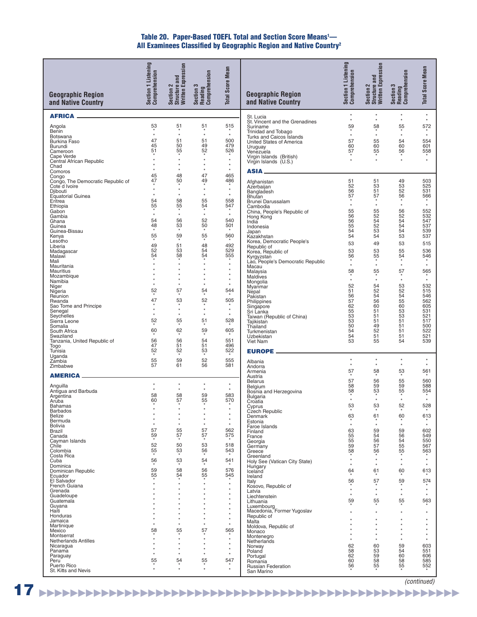#### **Table 20. Paper-Based TOEFL Total and Section Score Means1 —** All Examinees Classified by Geographic Region and Native Country<sup>2</sup>

| <b>Geographic Region</b><br>and Native Country     | Section 1 Listening<br>Comprehension | Section 2<br>Structure and<br>Written Expression | Section 3<br>Reading<br>Comprehension | <b>Total Score Mean</b> | <b>Geographic Region</b><br>and Native Country    | Section 1 Listening<br>Comprehension | Section 2<br>Structure and<br>Written Expression | Section 3<br>Reading<br>Comprehension | <b>Total Score Mean</b> |
|----------------------------------------------------|--------------------------------------|--------------------------------------------------|---------------------------------------|-------------------------|---------------------------------------------------|--------------------------------------|--------------------------------------------------|---------------------------------------|-------------------------|
| <b>AFRICA _</b>                                    |                                      |                                                  |                                       |                         | St. Lucia                                         | $\star$                              | $\star$                                          | $\star$                               | $^\star$                |
| Angola                                             | 53                                   | 51                                               | 51                                    | 515                     | St. Vincent and the Grenadines<br>Suriname        | $\star$<br>59                        | $\star$<br>58                                    | $\star$<br>55                         | $^\star$<br>572         |
| Benin<br>Botswana                                  | $\star$                              | $\star$                                          | $\star$                               | $^\star$                | Trinidad and Tobago<br>Turks and Caicos Islands   | $\star$                              | $^\star$                                         | $\star$                               | $^\star$                |
| <b>Burkina Faso</b><br>Burundi                     | 47<br>45                             | 51<br>50                                         | 51<br>49                              | 500<br>479              | United States of America<br>Uruguay               | 57<br>60                             | 55<br>60                                         | 54<br>60                              | 554<br>601              |
| Cameroon<br>Cape Verde                             | 51                                   | 55<br>$\star$                                    | 52<br>$\star$                         | 526<br>$^\star$         | Venezuela                                         | 57                                   | 55                                               | 56                                    | 558                     |
| Central African Republic<br>Chad                   | $\star$<br>$\star$                   | $\star$<br>$\star$                               | $\star$<br>$\star$                    | $^\star$<br>$\star$     | Virgin Islands (British)<br>Virgin Islands (U.S.) |                                      |                                                  | $\star$                               |                         |
| Comoros<br>Congo                                   | 45                                   | 48                                               | 47                                    | 465                     | <b>ASIA</b> —                                     |                                      |                                                  |                                       |                         |
| Congo, The Democratic Republic of<br>Cote d Ivoire | 47<br>$^\star$                       | 50<br>$^\star$                                   | 49<br>$\star$                         | 486<br>$^\star$         | Afghanistan<br>Azerbaijan                         | 51<br>52                             | 51<br>53                                         | 49<br>53                              | 503<br>525              |
| Djibouti<br>Equatorial Guinea                      | $^\star$                             | $^\star$                                         | $\star$                               | $\star$                 | Bangladesh<br><b>Bhutan</b>                       | 56<br>57                             | 51<br>57                                         | 52<br>56                              | 531<br>566              |
| Eritrea<br>Ethiopia                                | 54<br>55                             | 58<br>55                                         | 55<br>54                              | 558<br>547              | Brunei Darussalam<br>Cambodia                     |                                      | $^\star$                                         | $^\star$                              | $\star$                 |
| Gabon<br>Gambia                                    | $\star$                              | $^\star$                                         | $\star$                               | $\star$                 | China, People's Republic of<br>Hong Kong          | 55<br>56                             | 55<br>52                                         | 56<br>52                              | 552<br>532              |
| Ghana<br>Guinea                                    | 54<br>48<br>$\star$                  | 56<br>53<br>$\star$                              | 52<br>50<br>$\star$                   | 540<br>501              | India<br>Indonesia                                | 56<br>55                             | 54<br>52                                         | 54<br>54                              | 547<br>537              |
| Guinea-Bissau<br>Kenya                             | $5\overline{5}$                      | 59                                               | 55                                    | 560                     | Japan<br>Kazakhstan<br>Korea, Democratic People's | 54<br>54                             | 53<br>54                                         | 54<br>53                              | 539<br>537              |
| Lesotho<br>Liberia                                 | 49                                   | 51                                               | 48                                    | 492<br>529              | Republic of                                       | 53                                   | 49                                               | 53                                    | 515                     |
| Madagascar<br>Malawi                               | 52<br>54                             | 53<br>58                                         | 54<br>54                              | 555                     | Korea, Republic of<br>Kyrgyzstan                  | 53<br>56                             | 53<br>55                                         | 55<br>54                              | 536<br>546              |
| Mali<br>Mauritania                                 | $\star$                              | $^\star$<br>$\star$                              | $\star$<br>$\star$                    | $^\star$<br>$^\star$    | Lao, People's Democratic Republic<br>Macau        | $^\star$                             | $^\star$<br>55                                   | $^\star$<br>57                        | $\star$<br>565          |
| Mauritius<br>Mozambique                            | $\star$                              | $\star$<br>$\star$                               | $\star$<br>$\star$                    | $^\star$                | Malaysia<br>Maldives                              | 58<br>$\star$                        | $^\star$                                         | $\star$                               | $\star$                 |
| Namibia<br>Niger                                   | $\star$<br>52                        | $\star$<br>57                                    | $\star$<br>54                         | $\star$<br>544          | Mongolia<br>Myanmar                               | 52                                   | 54                                               | 53                                    | 532<br>515              |
| Nigeria<br>Reunion                                 | 47                                   | 53                                               | 52                                    | 505                     | Nepal<br>Pakistan                                 | 51<br>56<br>57                       | 52<br>54<br>56                                   | 52<br>54<br>55                        | 546<br>562              |
| Rwanda<br>Sao Tome and Principe                    | $\star$                              | $^\star$<br>$\star$                              | $\star$                               | $^\star$                | Philippines<br>Singapore                          | 62                                   | 60                                               | 60                                    | 605                     |
| Senegal<br>Seychelles<br>Sierra Leone              | $\star$<br>52                        | $\star$<br>55                                    | $\star$<br>51                         | $\star$<br>528          | Sri Lanka<br>Taiwan (Republic of China)           | 55<br>53<br>53                       | 51<br>51<br>51                                   | 53<br>53<br>51                        | 531<br>521<br>517       |
| Somalia<br>South Africa                            | 60                                   | 62                                               | 59                                    | 605                     | Tajikistan<br>Thailand                            | 50<br>54                             | 49<br>52                                         | 51<br>51                              | 500<br>522              |
| Swaziland<br>Tanzania, United Republic of          | 56                                   | 56                                               | 54                                    | 551                     | Turkmenistan<br>Uzbekistan<br>Viet Nam            | 54<br>53                             | 51<br>55                                         | 51<br>54                              | 521<br>539              |
| Togo<br>Tunisia                                    | 47<br>52                             | 51<br>52                                         | 51<br>53                              | 496<br>522              | <b>EUROPE _</b>                                   |                                      |                                                  |                                       |                         |
| Uganda<br>Zambia                                   | 55                                   | 59                                               | 52                                    | 555                     | Albania                                           | $^\star$                             | $^\star$                                         | $^\star$                              | $^\star$                |
| Zimbabwe                                           | 57                                   | 61                                               | 56                                    | 581                     | Andorra<br>Armenia                                | $\star$<br>57                        | $^\star$<br>58                                   | $^\star$<br>53                        | $^\star$<br>561         |
| <b>AMERICA</b> ___                                 |                                      |                                                  |                                       |                         | Austria<br><b>Belarus</b>                         | 57                                   | 56                                               | 55                                    | 560                     |
| Anguilla<br>Antigua and Barbuda                    | $^\star$<br>$\star$                  | $^\star$<br>$\star$                              | $\star$                               | $^\star$<br>$\star$     | Belgium<br>Bosnia and Herzegovina                 | 58<br>58                             | 59<br>53                                         | 59<br>55                              | 588<br>554              |
| Argentina<br>Aruba                                 | 58<br>60                             | 58<br>57                                         | 59<br>55                              | 583<br>570              | <b>Bulgaria</b><br>Croatia                        | $^\star$                             | $^\star$                                         | $^\star$                              | $^\star$                |
| <b>Bahamas</b><br>Barbados                         |                                      |                                                  |                                       |                         | Cyprus<br>Czech Republic                          | 53                                   | 53                                               | 52                                    | 528                     |
| Belize<br>Bermuda                                  | $\star$                              | $\star$<br>$\star$                               | $\star$<br>$\star$                    | $\star$<br>$\star$      | Denmark<br>Estonia                                | 63<br>$\star$                        | 61                                               | 60<br>$\star$                         | 613                     |
| <b>Bolivia</b><br>Brazil                           | $\star$<br>57                        | $\star$<br>55                                    | $\star$<br>57                         | 562                     | Faroe Islands<br>Finland                          | $\star$<br>63                        | $\star$<br>59                                    | $\star$<br>59                         | $\star$<br>602          |
| Canada<br>Cayman Islands                           | 59                                   | 57                                               | 57                                    | 575                     | France<br>Georgia                                 | 55<br>55                             | 54<br>56                                         | 56<br>54                              | 549<br>550              |
| Chile<br>Colombia                                  | 52<br>55                             | 50<br>53                                         | 53<br>56                              | 518<br>543              | Germany<br>Greece                                 | 59<br>58                             | 57<br>56                                         | 55<br>55                              | 567<br>563              |
| Costa Rica<br>Cuba                                 | 56                                   | $\frac{53}{4}$                                   | 54                                    | 541                     | Greenland<br>Holy See (Vatican City State)        | $\star$                              | $\star$                                          | $\star$                               | $\star$                 |
| Dominica<br>Dominican Republic                     | 59                                   | 58                                               | 56                                    | 576                     | Hungary<br>Iceland                                | 64                                   | $\star$<br>61                                    | $\star$<br>60                         | 613                     |
| Ecuador<br>El Salvador                             | 55<br>$\star$                        | 54<br>$\star$                                    | 55<br>$\star$                         | 545<br>$\star$          | Ireland<br>Italy                                  | 56                                   | 57                                               | 59                                    | 574                     |
| French Guiana<br>Grenada                           |                                      | $\star$<br>$\star$                               | $\star$<br>×                          | $\star$<br>$\star$      | Kosovo, Republic of<br>Latvia                     | $\star$                              | $\star$                                          | $\star$                               | $\star$                 |
| Guadeloupe<br>Guatemala                            |                                      | $\star$                                          | $\star$                               | $\star$                 | Liechtenstein<br>Lithuania                        | 59                                   | $\star$<br>55                                    | $\star$<br>55                         | 563                     |
| Guyana<br>Haiti                                    |                                      | $\star$<br>x                                     | $\star$<br>$\star$                    | $\star$                 | Luxembourg<br>Macedonia, Former Yugoslav          |                                      | $\star$                                          | $\star$                               | $\star$                 |
| Honduras<br>Jamaica                                | $\star$                              | $\star$<br>$\star$                               | $\star$<br>$\star$                    | $\star$<br>$\star$      | Republic of<br>Malta                              |                                      | $\star$                                          | ś                                     | $\star$                 |
| Martinique<br>Mexico                               | 58                                   | 55                                               | 57                                    | 565                     | Moldova, Republic of<br>Monaco                    |                                      |                                                  |                                       | $\star$                 |
| Montserrat<br><b>Netherlands Antilles</b>          |                                      | $\star$                                          | $\star$<br>$\star$                    | $^\star$<br>$\star$     | Montenegro<br>Netherlands                         |                                      | $\star$                                          | $\star$<br>$\star$                    | $\star$                 |
| Nicaragua<br>Panama                                | $\star$<br>$\star$                   | $\star$<br>$\star$                               | $\star$<br>$\star$                    | $\star$                 | Norway<br>Poland                                  | 62<br>58                             | 60<br>53                                         | 59<br>54                              | 603<br>551              |
| Paraguay<br>Peru                                   | 55                                   | 54                                               | 55                                    | 547                     | Portugal<br>Romania                               | 62<br>60                             | 59<br>58                                         | 60<br>58                              | 606<br>585              |
| Puerto Rico<br>St. Kitts and Nevis                 |                                      |                                                  |                                       |                         | <b>Russian Federation</b><br>San Marino           | 56                                   | 55                                               | 55                                    | 552                     |

(continued)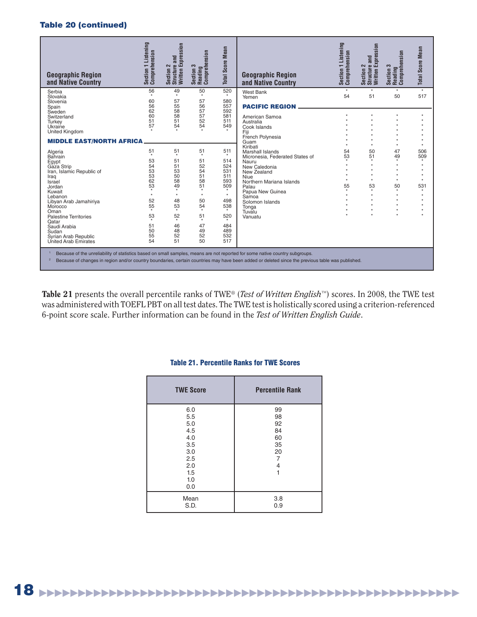# **Table 20 (continued)**

| <b>Geographic Region</b><br>and Native Country                                                                                                                                                                                                                                                | Section 1 Listening<br>Comprehension                                                                     | Section 2<br>Structure and<br>Written Expression                                                                                        | Section 3<br>Reading<br>Comprehension                                                                                                   | <b>Mean</b><br><b>Total Score</b>                                                                                                | <b>Geographic Region</b><br>and Native Country                                                                                                                                                                                      | Listening<br>Comprehension<br>$\overline{ }$<br>Section | Expression<br>and<br><b>Structure</b><br>2<br>Section 2<br>Written                                                       | Section 3<br>Reading<br>Comprehension           | <b>Total Score Mean</b>                 |
|-----------------------------------------------------------------------------------------------------------------------------------------------------------------------------------------------------------------------------------------------------------------------------------------------|----------------------------------------------------------------------------------------------------------|-----------------------------------------------------------------------------------------------------------------------------------------|-----------------------------------------------------------------------------------------------------------------------------------------|----------------------------------------------------------------------------------------------------------------------------------|-------------------------------------------------------------------------------------------------------------------------------------------------------------------------------------------------------------------------------------|---------------------------------------------------------|--------------------------------------------------------------------------------------------------------------------------|-------------------------------------------------|-----------------------------------------|
| Serbia<br>Slovakia<br>Slovenia<br>Spain                                                                                                                                                                                                                                                       | 56<br>60<br>56                                                                                           | 49<br>$\star$<br>57<br>55                                                                                                               | 50<br>$\star$<br>57<br>56                                                                                                               | 520<br>580<br>557                                                                                                                | <b>West Bank</b><br>Yemen<br><b>PACIFIC REGION</b>                                                                                                                                                                                  | $\star$<br>54                                           | $\star$<br>51                                                                                                            | $\star$<br>50                                   | $\star$<br>517                          |
| Sweden<br>Switzerland<br>Turkey<br>Ukraine<br>United Kingdom                                                                                                                                                                                                                                  | 62<br>60<br>51<br>57                                                                                     | 58<br>58<br>51<br>54                                                                                                                    | 57<br>57<br>52<br>54                                                                                                                    | 592<br>581<br>511<br>549                                                                                                         | American Samoa<br>Australia<br>Cook Islands<br>Fiii                                                                                                                                                                                 |                                                         | $\star$                                                                                                                  |                                                 |                                         |
| <b>MIDDLE EAST/NORTH AFRICA</b>                                                                                                                                                                                                                                                               |                                                                                                          |                                                                                                                                         |                                                                                                                                         | French Polynesia<br>Guam                                                                                                         |                                                                                                                                                                                                                                     |                                                         |                                                                                                                          |                                                 |                                         |
| Algeria<br><b>Bahrain</b><br>Egypt<br>Gaza Strip<br>Iran, Islamic Republic of<br>Iraq<br>Israel<br>Jordan<br>Kuwait<br>Lebanon<br>Libyan Arab Jamahiriya<br>Morocco<br>Oman<br><b>Palestine Territories</b><br>Qatar<br>Saudi Arabia<br>Sudan<br>Syrian Arab Republic<br>United Arab Emirates | 51<br>$\star$<br>53<br>54<br>53<br>53<br>62<br>53<br>$\ddot{}$<br>52<br>55<br>53<br>51<br>50<br>55<br>54 | 51<br>$\star$<br>51<br>51<br>53<br>50<br>58<br>49<br>$\star$<br>$\star$<br>48<br>53<br>$\star$<br>52<br>$\star$<br>46<br>48<br>52<br>51 | 51<br>$\star$<br>51<br>52<br>54<br>51<br>58<br>51<br>$\star$<br>$\star$<br>50<br>54<br>$\star$<br>51<br>$\star$<br>47<br>49<br>52<br>50 | 511<br>514<br>524<br>531<br>511<br>593<br>509<br>$\star$<br>$^\star$<br>498<br>538<br>$\star$<br>520<br>484<br>489<br>532<br>517 | Kiribati<br>Marshall Islands<br>Micronesia, Federated States of<br>Nauru<br>New Caledonia<br>New Zealand<br>Niue<br>Northern Mariana Islands<br>Palau<br>Papua New Guinea<br>Samoa<br>Solomon Islands<br>Tonga<br>Tuvalu<br>Vanuatu | 54<br>53<br>$\star$<br>55<br>$\star$                    | $\star$<br>50<br>51<br>$\star$<br>$\star$<br>$\ddot{\phantom{1}}$<br>$\star$<br>$\star$<br>53<br>$\star$<br>$\star$<br>٠ | 47<br>49<br>$\star$<br>$\star$<br>50<br>$\star$ | 506<br>509<br>$\star$<br>531<br>$\star$ |
| Because of the unreliability of statistics based on small samples, means are not reported for some native country subgroups.<br>Because of changes in region and/or country boundaries, certain countries may have been added or deleted since the previous table was published.              |                                                                                                          |                                                                                                                                         |                                                                                                                                         |                                                                                                                                  |                                                                                                                                                                                                                                     |                                                         |                                                                                                                          |                                                 |                                         |

**Table 21** presents the overall percentile ranks of TWE® (*Test of Written English*™) scores. In 2008, the TWE test was administered with TOEFL PBT on all test dates. The TWE test is holistically scored using a criterion-referenced 6-point score scale. Further information can be found in the *Test of Written English Guide*.

| <b>TWE Score</b>                                                                 | <b>Percentile Rank</b>                           |
|----------------------------------------------------------------------------------|--------------------------------------------------|
| 6.0<br>5.5<br>5.0<br>4.5<br>4.0<br>3.5<br>3.0<br>2.5<br>2.0<br>1.5<br>1.0<br>0.0 | 99<br>98<br>92<br>84<br>60<br>35<br>20<br>7<br>4 |
| Mean<br>S.D.                                                                     | 3.8<br>0.9                                       |

# **Table 21. Percentile Ranks for TWE Scores**